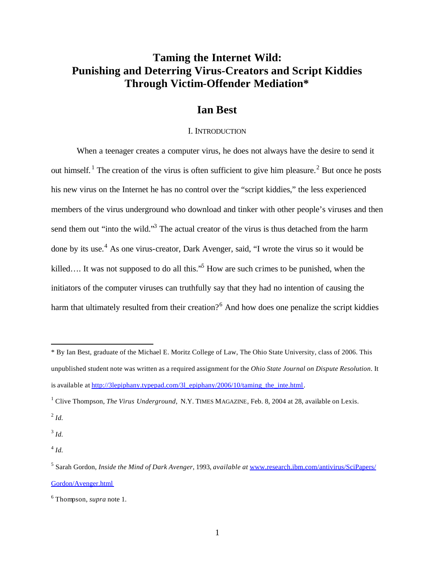# **Taming the Internet Wild: Punishing and Deterring Virus-Creators and Script Kiddies Through Victim-Offender Mediation\***

# **Ian Best**

### I. INTRODUCTION

When a teenager creates a computer virus, he does not always have the desire to send it out himself.<sup>1</sup> The creation of the virus is often sufficient to give him pleasure.<sup>2</sup> But once he posts his new virus on the Internet he has no control over the "script kiddies," the less experienced members of the virus underground who download and tinker with other people's viruses and then send them out "into the wild."<sup>3</sup> The actual creator of the virus is thus detached from the harm done by its use.<sup>4</sup> As one virus-creator, Dark Avenger, said, "I wrote the virus so it would be killed.... It was not supposed to do all this.<sup>55</sup> How are such crimes to be punished, when the initiators of the computer viruses can truthfully say that they had no intention of causing the harm that ultimately resulted from their creation?<sup>6</sup> And how does one penalize the script kiddies

2 *Id.*

 $\overline{a}$ 

3 *Id.*

4 *Id.*

<sup>\*</sup> By Ian Best, graduate of the Michael E. Moritz College of Law, The Ohio State University, class of 2006. This unpublished student note was written as a required assignment for the *Ohio State Journal on Dispute Resolution*. It is available at http://3lepiphany.typepad.com/3l\_epiphany/2006/10/taming\_the\_inte.html.

<sup>&</sup>lt;sup>1</sup> Clive Thompson, *The Virus Underground*, N.Y. TIMES MAGAZINE, Feb. 8, 2004 at 28, available on Lexis.

<sup>5</sup> Sarah Gordon, *Inside the Mind of Dark Avenger*, 1993, *available at* www.research.ibm.com/antivirus/SciPapers/ Gordon/Avenger.html

<sup>6</sup> Thompson, *supra* note 1.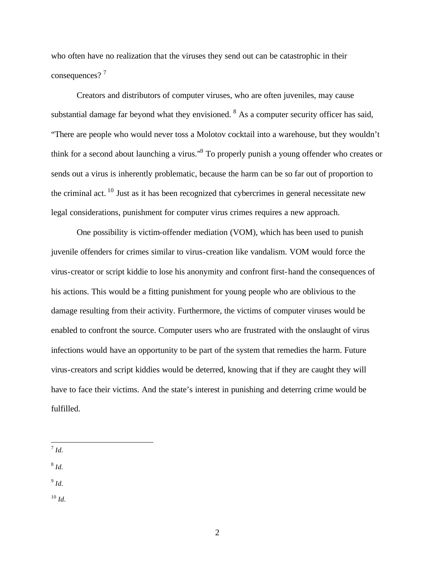who often have no realization that the viruses they send out can be catastrophic in their consequences?<sup>7</sup>

Creators and distributors of computer viruses, who are often juveniles, may cause substantial damage far beyond what they envisioned.  $8$  As a computer security officer has said, "There are people who would never toss a Molotov cocktail into a warehouse, but they wouldn't think for a second about launching a virus."<sup>9</sup> To properly punish a young offender who creates or sends out a virus is inherently problematic, because the harm can be so far out of proportion to the criminal act.  $^{10}$  Just as it has been recognized that cybercrimes in general necessitate new legal considerations, punishment for computer virus crimes requires a new approach.

One possibility is victim-offender mediation (VOM), which has been used to punish juvenile offenders for crimes similar to virus-creation like vandalism. VOM would force the virus-creator or script kiddie to lose his anonymity and confront first-hand the consequences of his actions. This would be a fitting punishment for young people who are oblivious to the damage resulting from their activity. Furthermore, the victims of computer viruses would be enabled to confront the source. Computer users who are frustrated with the onslaught of virus infections would have an opportunity to be part of the system that remedies the harm. Future virus-creators and script kiddies would be deterred, knowing that if they are caught they will have to face their victims. And the state's interest in punishing and deterring crime would be fulfilled.

8 *Id.*

9 *Id.*

 $^{10}$  *Id.* 

 $\overline{a}$ 7 *Id.*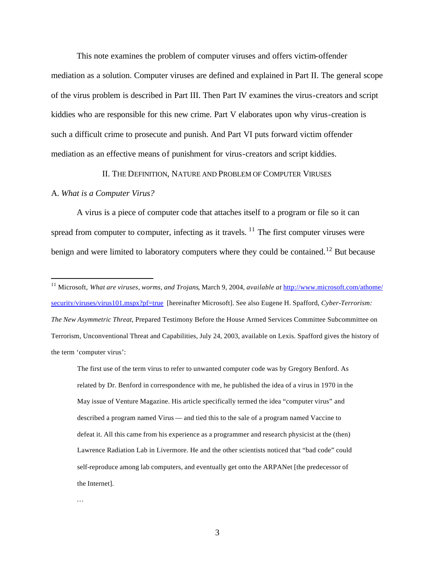This note examines the problem of computer viruses and offers victim-offender mediation as a solution. Computer viruses are defined and explained in Part II. The general scope of the virus problem is described in Part III. Then Part IV examines the virus-creators and script kiddies who are responsible for this new crime. Part V elaborates upon why virus-creation is such a difficult crime to prosecute and punish. And Part VI puts forward victim offender mediation as an effective means of punishment for virus-creators and script kiddies.

II. THE DEFINITION, NATURE AND PROBLEM OF COMPUTER VIRUSES

### A. *What is a Computer Virus?*

 $\overline{a}$ 

A virus is a piece of computer code that attaches itself to a program or file so it can spread from computer to computer, infecting as it travels.  $\frac{11}{11}$  The first computer viruses were benign and were limited to laboratory computers where they could be contained.<sup>12</sup> But because

…

<sup>11</sup> Microsoft, *What are viruses, worms, and Trojans*, March 9, 2004, *available at* http://www.microsoft.com/athome/ security/viruses/virus101.mspx?pf=true [hereinafter Microsoft]. See also Eugene H. Spafford, *Cyber-Terrorism: The New Asymmetric Threat,* Prepared Testimony Before the House Armed Services Committee Subcommittee on Terrorism, Unconventional Threat and Capabilities, July 24, 2003, available on Lexis. Spafford gives the history of the term 'computer virus':

The first use of the term virus to refer to unwanted computer code was by Gregory Benford. As related by Dr. Benford in correspondence with me, he published the idea of a virus in 1970 in the May issue of Venture Magazine. His article specifically termed the idea "computer virus" and described a program named Virus — and tied this to the sale of a program named Vaccine to defeat it. All this came from his experience as a programmer and research physicist at the (then) Lawrence Radiation Lab in Livermore. He and the other scientists noticed that "bad code" could self-reproduce among lab computers, and eventually get onto the ARPANet [the predecessor of the Internet].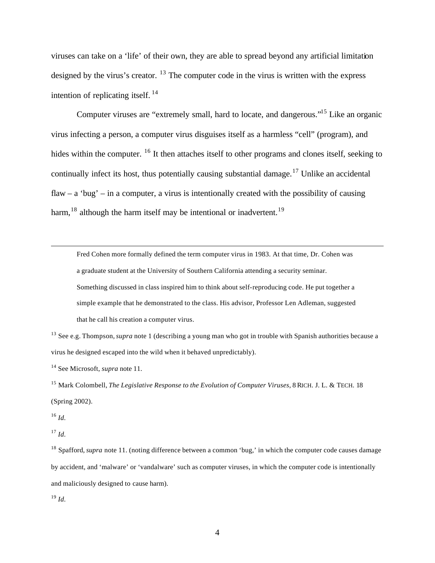viruses can take on a 'life' of their own, they are able to spread beyond any artificial limitation designed by the virus's creator.  $^{13}$  The computer code in the virus is written with the express intention of replicating itself.  $^{14}$ 

Computer viruses are "extremely small, hard to locate, and dangerous."<sup>15</sup> Like an organic virus infecting a person, a computer virus disguises itself as a harmless "cell" (program), and hides within the computer. <sup>16</sup> It then attaches itself to other programs and clones itself, seeking to continually infect its host, thus potentially causing substantial damage.<sup>17</sup> Unlike an accidental flaw – a 'bug' – in a computer, a virus is intentionally created with the possibility of causing harm,  $18$  although the harm itself may be intentional or inadvertent.  $19$ 

Fred Cohen more formally defined the term computer virus in 1983. At that time, Dr. Cohen was a graduate student at the University of Southern California attending a security seminar. Something discussed in class inspired him to think about self-reproducing code. He put together a simple example that he demonstrated to the class. His advisor, Professor Len Adleman, suggested that he call his creation a computer virus.

<sup>13</sup> See e.g. Thompson, *supra* note 1 (describing a young man who got in trouble with Spanish authorities because a virus he designed escaped into the wild when it behaved unpredictably).

<sup>14</sup> See Microsoft, *supra* note 11.

<sup>15</sup> Mark Colombell, *The Legislative Response to the Evolution of Computer Viruses*, 8 RICH. J. L. & TECH. 18 (Spring 2002).

<sup>16</sup> *Id.*

 $\overline{a}$ 

 $^{17}$  *Id.* 

<sup>18</sup> Spafford, *supra* note 11. (noting difference between a common 'bug,' in which the computer code causes damage by accident, and 'malware' or 'vandalware' such as computer viruses, in which the computer code is intentionally and maliciously designed to cause harm).

<sup>19</sup> *Id.*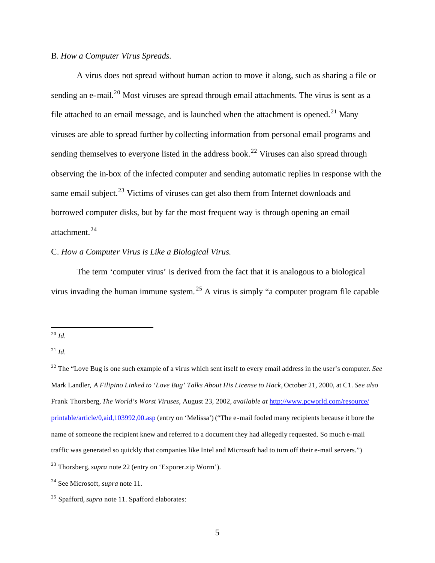# B*. How a Computer Virus Spreads.*

A virus does not spread without human action to move it along, such as sharing a file or sending an e-mail.<sup>20</sup> Most viruses are spread through email attachments. The virus is sent as a file attached to an email message, and is launched when the attachment is opened.<sup>21</sup> Many viruses are able to spread further by collecting information from personal email programs and sending themselves to everyone listed in the address book.<sup>22</sup> Viruses can also spread through observing the in-box of the infected computer and sending automatic replies in response with the same email subject.<sup>23</sup> Victims of viruses can get also them from Internet downloads and borrowed computer disks, but by far the most frequent way is through opening an email attachment.<sup>24</sup>

# C. *How a Computer Virus is Like a Biological Virus.*

The term 'computer virus' is derived from the fact that it is analogous to a biological virus invading the human immune system. <sup>25</sup> A virus is simply "a computer program file capable

<sup>20</sup> *Id.*

 $^{21}$  *Id.* 

<sup>22</sup> The "Love Bug is one such example of a virus which sent itself to every email address in the user's computer. *See*  Mark Landler, *A Filipino Linked to 'Love Bug' Talks About His License to Hack,* October 21, 2000, at C1. *See also* Frank Thorsberg, *The World's Worst Viruses*, August 23, 2002, *available at* http://www.pcworld.com/resource/ printable/article/0,aid,103992,00.asp (entry on 'Melissa') ("The e-mail fooled many recipients because it bore the name of someone the recipient knew and referred to a document they had allegedly requested. So much e-mail traffic was generated so quickly that companies like Intel and Microsoft had to turn off their e-mail servers.")

<sup>23</sup> Thorsberg,*supra* note 22 (entry on 'Exporer.zip Worm').

<sup>24</sup> See Microsoft, *supra* note 11.

<sup>25</sup> Spafford, *supra* note 11. Spafford elaborates: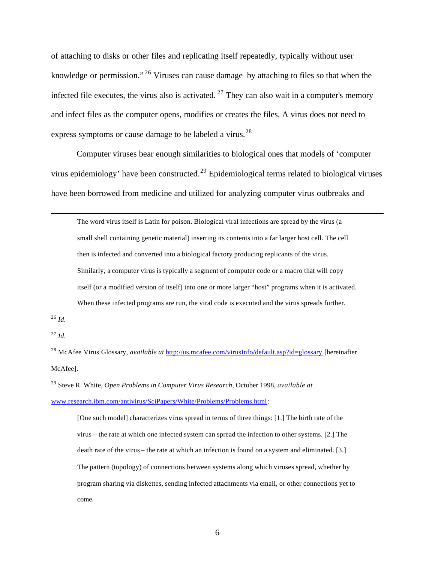of attaching to disks or other files and replicating itself repeatedly, typically without user knowledge or permission." <sup>26</sup> Viruses can cause damage by attaching to files so that when the infected file executes, the virus also is activated.  $27$  They can also wait in a computer's memory and infect files as the computer opens, modifies or creates the files. A virus does not need to express symptoms or cause damage to be labeled a virus.<sup>28</sup>

Computer viruses bear enough similarities to biological ones that models of 'computer virus epidemiology' have been constructed.<sup>29</sup> Epidemiological terms related to biological viruses have been borrowed from medicine and utilized for analyzing computer virus outbreaks and

The word virus itself is Latin for poison. Biological viral infections are spread by the virus (a small shell containing genetic material) inserting its contents into a far larger host cell. The cell then is infected and converted into a biological factory producing replicants of the virus. Similarly, a computer virus is typically a segment of computer code or a macro that will copy itself (or a modified version of itself) into one or more larger "host" programs when it is activated. When these infected programs are run, the viral code is executed and the virus spreads further.

<sup>26</sup> *Id.*

 $\overline{a}$ 

 $^{27}$  *Id.* 

<sup>28</sup> McAfee Virus Glossary, *available at* http://us.mcafee.com/virusInfo/default.asp?id=glossary [hereinafter McAfee].

<sup>29</sup> Steve R. White, *Open Problems in Computer Virus Research*, October 1998, *available at* www.research.ibm.com/antivirus/SciPapers/White/Problems/Problems.html:

[One such model] characterizes virus spread in terms of three things: [1.] The birth rate of the virus – the rate at which one infected system can spread the infection to other systems. [2.] The death rate of the virus – the rate at which an infection is found on a system and eliminated. [3.] The pattern (topology) of connections between systems along which viruses spread, whether by program sharing via diskettes, sending infected attachments via email, or other connections yet to come.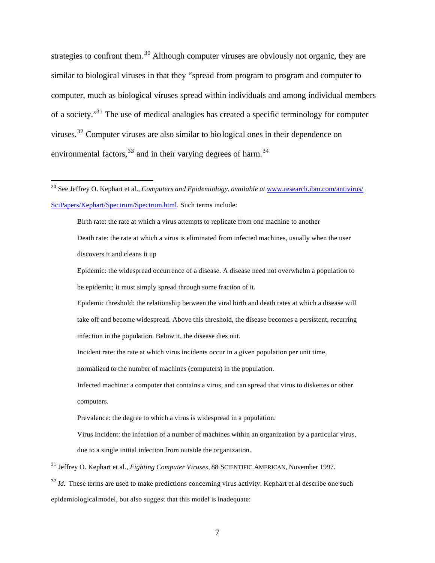strategies to confront them.<sup>30</sup> Although computer viruses are obviously not organic, they are similar to biological viruses in that they "spread from program to program and computer to computer, much as biological viruses spread within individuals and among individual members of a society."<sup>31</sup> The use of medical analogies has created a specific terminology for computer viruses.<sup>32</sup> Computer viruses are also similar to biological ones in their dependence on environmental factors,  $33$  and in their varying degrees of harm.  $34$ 

 $\overline{a}$ 

Birth rate: the rate at which a virus attempts to replicate from one machine to another Death rate: the rate at which a virus is eliminated from infected machines, usually when the user discovers it and cleans it up

Epidemic: the widespread occurrence of a disease. A disease need not overwhelm a population to be epidemic; it must simply spread through some fraction of it.

Epidemic threshold: the relationship between the viral birth and death rates at which a disease will take off and become widespread. Above this threshold, the disease becomes a persistent, recurring infection in the population. Below it, the disease dies out.

Incident rate: the rate at which virus incidents occur in a given population per unit time,

normalized to the number of machines (computers) in the population.

Infected machine: a computer that contains a virus, and can spread that virus to diskettes or other computers.

Prevalence: the degree to which a virus is widespread in a population.

Virus Incident: the infection of a number of machines within an organization by a particular virus,

due to a single initial infection from outside the organization.

<sup>31</sup> Jeffrey O. Kephart et al., *Fighting Computer Viruses*, 88 SCIENTIFIC AMERICAN, November 1997.

<sup>32</sup> *Id.* These terms are used to make predictions concerning virus activity. Kephart et al describe one such epidemiological model, but also suggest that this model is inadequate:

<sup>30</sup> See Jeffrey O. Kephart et al., *Computers and Epidemiology*, *available at* www.research.ibm.com/antivirus/ SciPapers/Kephart/Spectrum/Spectrum.html. Such terms include: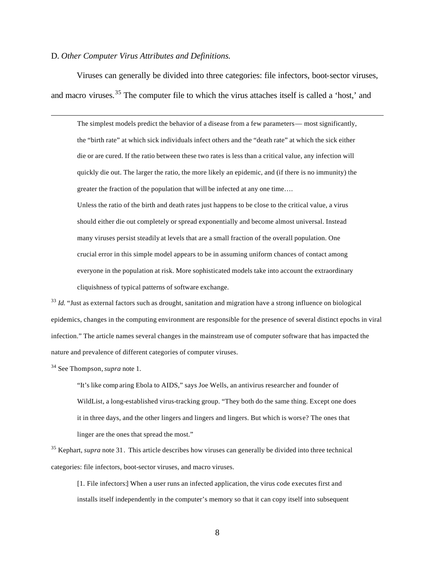### D. *Other Computer Virus Attributes and Definitions.*

Viruses can generally be divided into three categories: file infectors, boot-sector viruses, and macro viruses.<sup>35</sup> The computer file to which the virus attaches itself is called a 'host,' and

The simplest models predict the behavior of a disease from a few parameters— most significantly, the "birth rate" at which sick individuals infect others and the "death rate" at which the sick either die or are cured. If the ratio between these two rates is less than a critical value, any infection will quickly die out. The larger the ratio, the more likely an epidemic, and (if there is no immunity) the greater the fraction of the population that will be infected at any one time….

Unless the ratio of the birth and death rates just happens to be close to the critical value, a virus should either die out completely or spread exponentially and become almost universal. Instead many viruses persist steadily at levels that are a small fraction of the overall population. One crucial error in this simple model appears to be in assuming uniform chances of contact among everyone in the population at risk. More sophisticated models take into account the extraordinary cliquishness of typical patterns of software exchange.

<sup>33</sup> *Id.* "Just as external factors such as drought, sanitation and migration have a strong influence on biological epidemics, changes in the computing environment are responsible for the presence of several distinct epochs in viral infection." The article names several changes in the mainstream use of computer software that has impacted the nature and prevalence of different categories of computer viruses.

<sup>34</sup> See Thompson,*supra* note 1.

 $\overline{a}$ 

"It's like comp aring Ebola to AIDS," says Joe Wells, an antivirus researcher and founder of WildList, a long-established virus-tracking group. "They both do the same thing. Except one does it in three days, and the other lingers and lingers and lingers. But which is worse? The ones that linger are the ones that spread the most."

<sup>35</sup> Kephart, *supra* note 31. This article describes how viruses can generally be divided into three technical categories: file infectors, boot-sector viruses, and macro viruses.

[1. File infectors:] When a user runs an infected application, the virus code executes first and installs itself independently in the computer's memory so that it can copy itself into subsequent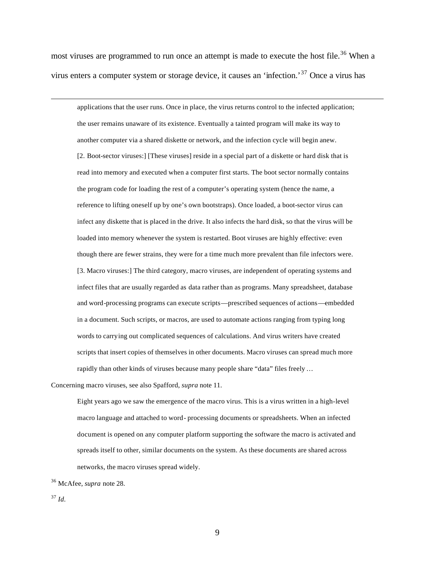most viruses are programmed to run once an attempt is made to execute the host file.<sup>36</sup> When a virus enters a computer system or storage device, it causes an 'infection.'<sup>37</sup> Once a virus has

applications that the user runs. Once in place, the virus returns control to the infected application; the user remains unaware of its existence. Eventually a tainted program will make its way to another computer via a shared diskette or network, and the infection cycle will begin anew. [2. Boot-sector viruses:] [These viruses] reside in a special part of a diskette or hard disk that is read into memory and executed when a computer first starts. The boot sector normally contains the program code for loading the rest of a computer's operating system (hence the name, a reference to lifting oneself up by one's own bootstraps). Once loaded, a boot-sector virus can infect any diskette that is placed in the drive. It also infects the hard disk, so that the virus will be loaded into memory whenever the system is restarted. Boot viruses are highly effective: even though there are fewer strains, they were for a time much more prevalent than file infectors were. [3. Macro viruses:] The third category, macro viruses, are independent of operating systems and infect files that are usually regarded as data rather than as programs. Many spreadsheet, database and word-processing programs can execute scripts—prescribed sequences of actions—embedded in a document. Such scripts, or macros, are used to automate actions ranging from typing long words to carrying out complicated sequences of calculations. And virus writers have created scripts that insert copies of themselves in other documents. Macro viruses can spread much more rapidly than other kinds of viruses because many people share "data" files freely …

Concerning macro viruses, see also Spafford, *supra* note 11.

Eight years ago we saw the emergence of the macro virus. This is a virus written in a high-level macro language and attached to word- processing documents or spreadsheets. When an infected document is opened on any computer platform supporting the software the macro is activated and spreads itself to other, similar documents on the system. As these documents are shared across networks, the macro viruses spread widely.

<sup>36</sup> McAfee, *supra* note 28.

<sup>37</sup> *Id.*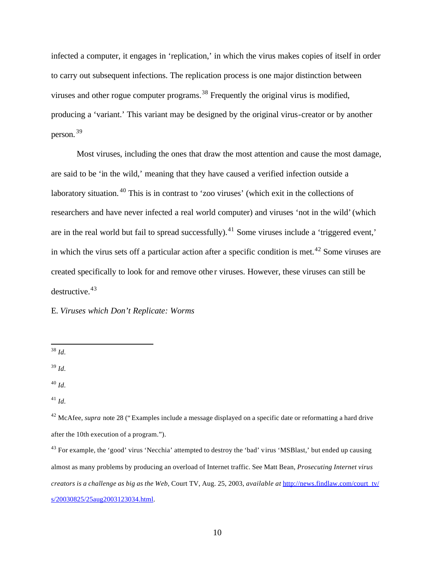infected a computer, it engages in 'replication,' in which the virus makes copies of itself in order to carry out subsequent infections. The replication process is one major distinction between viruses and other rogue computer programs.<sup>38</sup> Frequently the original virus is modified, producing a 'variant.' This variant may be designed by the original virus-creator or by another person. <sup>39</sup>

Most viruses, including the ones that draw the most attention and cause the most damage, are said to be 'in the wild,' meaning that they have caused a verified infection outside a laboratory situation.<sup>40</sup> This is in contrast to 'zoo viruses' (which exit in the collections of researchers and have never infected a real world computer) and viruses 'not in the wild' (which are in the real world but fail to spread successfully).<sup>41</sup> Some viruses include a 'triggered event,' in which the virus sets off a particular action after a specific condition is met.<sup>42</sup> Some viruses are created specifically to look for and remove othe r viruses. However, these viruses can still be  $destnuctive.<sup>43</sup>$ 

E. *Viruses which Don't Replicate: Worms*

 $\overline{a}$ <sup>38</sup> *Id.*

<sup>39</sup> *Id.*

<sup>40</sup> *Id.*

<sup>41</sup> *Id.*

<sup>&</sup>lt;sup>42</sup> McAfee, *supra* note 28 ("Examples include a message displayed on a specific date or reformatting a hard drive after the 10th execution of a program.").

<sup>&</sup>lt;sup>43</sup> For example, the 'good' virus 'Necchia' attempted to destroy the 'bad' virus 'MSBlast,' but ended up causing almost as many problems by producing an overload of Internet traffic. See Matt Bean, *Prosecuting Internet virus creators is a challenge as big as the Web*, Court TV, Aug. 25, 2003, *available at* http://news.findlaw.com/court\_tv/ s/20030825/25aug2003123034.html.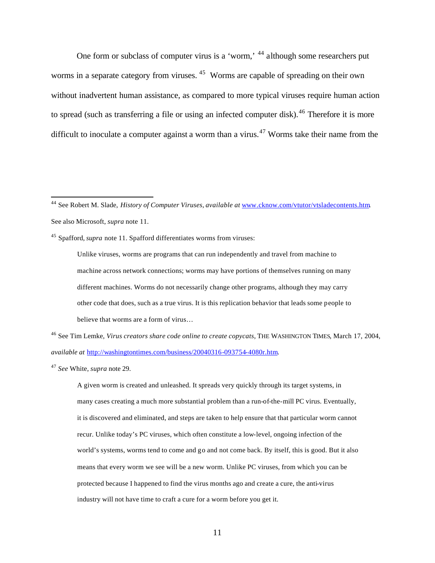One form or subclass of computer virus is a 'worm,' <sup>44</sup> although some researchers put worms in a separate category from viruses.<sup>45</sup> Worms are capable of spreading on their own without inadvertent human assistance, as compared to more typical viruses require human action to spread (such as transferring a file or using an infected computer disk).<sup>46</sup> Therefore it is more difficult to inoculate a computer against a worm than a virus.<sup>47</sup> Worms take their name from the

<sup>45</sup> Spafford, *supra* note 11. Spafford differentiates worms from viruses:

Unlike viruses, worms are programs that can run independently and travel from machine to machine across network connections; worms may have portions of themselves running on many different machines. Worms do not necessarily change other programs, although they may carry other code that does, such as a true virus. It is this replication behavior that leads some people to believe that worms are a form of virus…

<sup>46</sup> See Tim Lemke, *Virus creators share code online to create copycats*, THE WASHINGTON TIMES, March 17, 2004, *available at* http://washingtontimes.com/business/20040316-093754-4080r.htm.

<sup>47</sup> *See* White, *supra* note 29.

 $\overline{a}$ 

A given worm is created and unleashed. It spreads very quickly through its target systems, in many cases creating a much more substantial problem than a run-of-the-mill PC virus. Eventually, it is discovered and eliminated, and steps are taken to help ensure that that particular worm cannot recur. Unlike today's PC viruses, which often constitute a low-level, ongoing infection of the world's systems, worms tend to come and go and not come back. By itself, this is good. But it also means that every worm we see will be a new worm. Unlike PC viruses, from which you can be protected because I happened to find the virus months ago and create a cure, the anti-virus industry will not have time to craft a cure for a worm before you get it.

<sup>44</sup> See Robert M. Slade, *History of Computer Viruses*, *available at* www.cknow.com/vtutor/vtsladecontents.htm. See also Microsoft, *supra* note 11.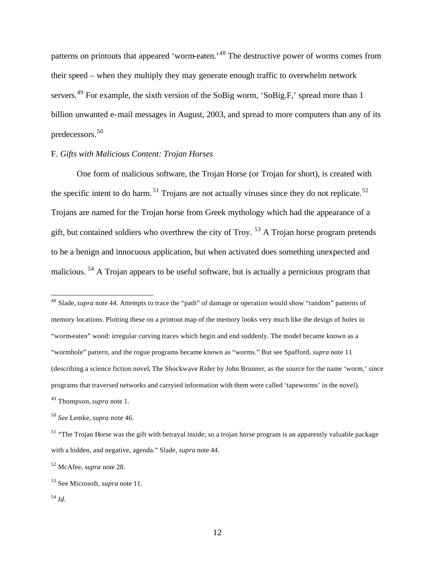patterns on printouts that appeared 'worm-eaten.'<sup>48</sup> The destructive power of worms comes from their speed – when they multiply they may generate enough traffic to overwhelm network servers.<sup>49</sup> For example, the sixth version of the SoBig worm, 'SoBig.F,' spread more than 1 billion unwanted e-mail messages in August, 2003, and spread to more computers than any of its predecessors.<sup>50</sup>

# F. *Gifts with Malicious Content: Trojan Horses*

One form of malicious software, the Trojan Horse (or Trojan for short), is created with the specific intent to do harm.<sup>51</sup> Trojans are not actually viruses since they do not replicate.<sup>52</sup> Trojans are named for the Trojan horse from Greek mythology which had the appearance of a gift, but contained soldiers who overthrew the city of Troy.<sup>53</sup> A Trojan horse program pretends to be a benign and innocuous application, but when activated does something unexpected and malicious. <sup>54</sup> A Trojan appears to be useful software, but is actually a pernicious program that

<sup>48</sup> Slade, *supra* note 44. Attempts to trace the "path" of damage or operation would show "random" patterns of memory locations. Plotting these on a printout map of the memory looks very much like the design of holes in "worm-eaten" wood: irregular curving traces which begin and end suddenly. The model became known as a "wormhole" pattern, and the rogue programs became known as "worms." But see Spafford, *supra* note 11 (describing a science fiction novel, The Shockwave Rider by John Brunner, as the source for the name 'worm,' since programs that traversed networks and carryied information with them were called 'tapeworms' in the novel). <sup>49</sup> Thompson,*supra* note 1.

<sup>50</sup> *See* Lemke, *supra* note 46.

<sup>&</sup>lt;sup>51</sup> "The Trojan Horse was the gift with betrayal inside; so a trojan horse program is an apparently valuable package with a hidden, and negative, agenda." Slade, *supra* note 44.

<sup>52</sup> McAfee, *supra* note 28.

<sup>53</sup> See Microsoft, *supra* note 11.

<sup>54</sup> *Id.*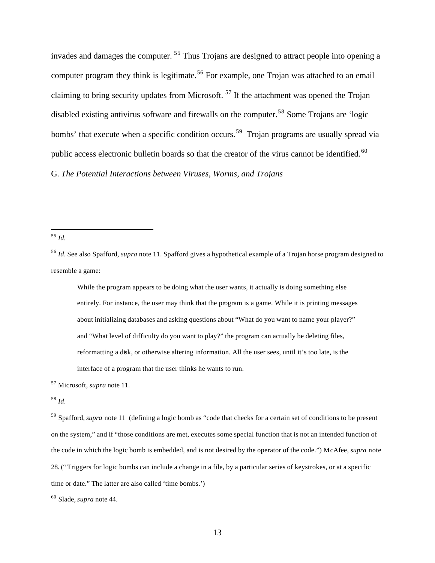invades and damages the computer. <sup>55</sup> Thus Trojans are designed to attract people into opening a computer program they think is legitimate.<sup>56</sup> For example, one Trojan was attached to an email claiming to bring security updates from Microsoft.<sup>57</sup> If the attachment was opened the Trojan disabled existing antivirus software and firewalls on the computer.<sup>58</sup> Some Trojans are 'logic bombs' that execute when a specific condition occurs.<sup>59</sup> Trojan programs are usually spread via public access electronic bulletin boards so that the creator of the virus cannot be identified.<sup>60</sup> G. *The Potential Interactions between Viruses, Worms, and Trojans*

<sup>55</sup> *Id.*

 $\overline{a}$ 

<sup>56</sup> *Id.* See also Spafford, *supra* note 11. Spafford gives a hypothetical example of a Trojan horse program designed to resemble a game:

While the program appears to be doing what the user wants, it actually is doing something else entirely. For instance, the user may think that the program is a game. While it is printing messages about initializing databases and asking questions about "What do you want to name your player?" and "What level of difficulty do you want to play?" the program can actually be deleting files, reformatting a disk, or otherwise altering information. All the user sees, until it's too late, is the interface of a program that the user thinks he wants to run.

<sup>57</sup> Microsoft, *supra* note 11.

<sup>58</sup> *Id.*

<sup>59</sup> Spafford, *supra* note 11 (defining a logic bomb as "code that checks for a certain set of conditions to be present on the system," and if "those conditions are met, executes some special function that is not an intended function of the code in which the logic bomb is embedded, and is not desired by the operator of the code.") McAfee, *supra* note 28. ("Triggers for logic bombs can include a change in a file, by a particular series of keystrokes, or at a specific time or date." The latter are also called 'time bombs.')

<sup>60</sup> Slade, *supra* note 44.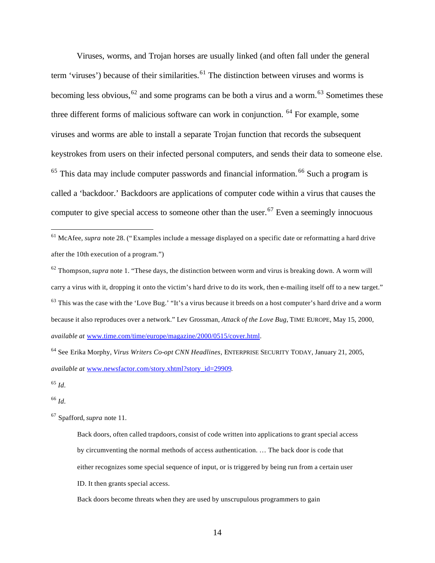Viruses, worms, and Trojan horses are usually linked (and often fall under the general term 'viruses') because of their similarities.<sup>61</sup> The distinction between viruses and worms is becoming less obvious,  $62$  and some programs can be both a virus and a worm.<sup>63</sup> Sometimes these three different forms of malicious software can work in conjunction. <sup>64</sup> For example, some viruses and worms are able to install a separate Trojan function that records the subsequent keystrokes from users on their infected personal computers, and sends their data to someone else.  $65$  This data may include computer passwords and financial information.  $66$  Such a program is called a 'backdoor.' Backdoors are applications of computer code within a virus that causes the computer to give special access to someone other than the user.<sup>67</sup> Even a seemingly innocuous

<sup>65</sup> *Id.*

 $\overline{a}$ 

<sup>66</sup> *Id.*

<sup>&</sup>lt;sup>61</sup> McAfee, *supra* note 28. ("Examples include a message displayed on a specific date or reformatting a hard drive after the 10th execution of a program.")

<sup>62</sup> Thompson,*supra* note 1. "These days, the distinction between worm and virus is breaking down. A worm will carry a virus with it, dropping it onto the victim's hard drive to do its work, then e-mailing itself off to a new target." <sup>63</sup> This was the case with the 'Love Bug.' "It's a virus because it breeds on a host computer's hard drive and a worm because it also reproduces over a network." Lev Grossman, *Attack of the Love Bug*, TIME EUROPE, May 15, 2000, *available at* www.time.com/time/europe/magazine/2000/0515/cover.html.

<sup>64</sup> See Erika Morphy, *Virus Writers Co-opt CNN Headlines*, ENTERPRISE SECURITY TODAY, January 21, 2005, *available at* www.newsfactor.com/story.xhtml?story\_id=29909.

<sup>67</sup> Spafford, *supra* note 11.

Back doors, often called trapdoors, consist of code written into applications to grant special access by circumventing the normal methods of access authentication. … The back door is code that either recognizes some special sequence of input, or is triggered by being run from a certain user ID. It then grants special access.

Back doors become threats when they are used by unscrupulous programmers to gain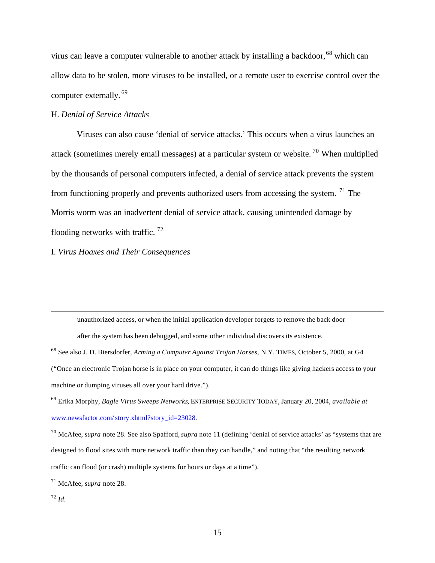virus can leave a computer vulnerable to another attack by installing a backdoor,<sup>68</sup> which can allow data to be stolen, more viruses to be installed, or a remote user to exercise control over the computer externally. <sup>69</sup>

### H. *Denial of Service Attacks*

Viruses can also cause 'denial of service attacks.' This occurs when a virus launches an attack (sometimes merely email messages) at a particular system or website.<sup>70</sup> When multiplied by the thousands of personal computers infected, a denial of service attack prevents the system from functioning properly and prevents authorized users from accessing the system. <sup>71</sup> The Morris worm was an inadvertent denial of service attack, causing unintended damage by flooding networks with traffic.  $72$ 

I. *Virus Hoaxes and Their Consequences*

unauthorized access, or when the initial application developer forgets to remove the back door

after the system has been debugged, and some other individual discovers its existence.

<sup>72</sup> *Id.*

<sup>68</sup> See also J. D. Biersdorfer, *Arming a Computer Against Trojan Horses*, N.Y. TIMES, October 5, 2000, at G4 ("Once an electronic Trojan horse is in place on your computer, it can do things like giving hackers access to your machine or dumping viruses all over your hard drive.").

<sup>69</sup> Erika Morphy, *Bagle Virus Sweeps Networks*, ENTERPRISE SECURITY TODAY, January 20, 2004, *available at* www.newsfactor.com/story.xhtml?story\_id=23028.

<sup>70</sup> McAfee, *supra* note 28. See also Spafford, *supra* note 11 (defining 'denial of service attacks' as "systems that are designed to flood sites with more network traffic than they can handle," and noting that "the resulting network traffic can flood (or crash) multiple systems for hours or days at a time").

<sup>71</sup> McAfee, *supra* note 28.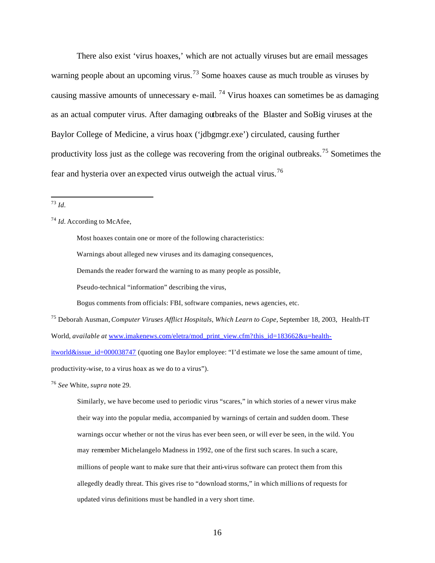There also exist 'virus hoaxes,' which are not actually viruses but are email messages warning people about an upcoming virus.<sup>73</sup> Some hoaxes cause as much trouble as viruses by causing massive amounts of unnecessary e-mail. <sup>74</sup> Virus hoaxes can sometimes be as damaging as an actual computer virus. After damaging outbreaks of the Blaster and SoBig viruses at the Baylor College of Medicine, a virus hoax ('jdbgmgr.exe') circulated, causing further productivity loss just as the college was recovering from the original outbreaks.<sup>75</sup> Sometimes the fear and hysteria over an expected virus outweigh the actual virus.<sup>76</sup>

 $\overline{a}$ <sup>73</sup> *Id.*

Most hoaxes contain one or more of the following characteristics:

Warnings about alleged new viruses and its damaging consequences,

Demands the reader forward the warning to as many people as possible,

Pseudo-technical "information" describing the virus,

Bogus comments from officials: FBI, software companies, news agencies, etc.

<sup>75</sup> Deborah Ausman, *Computer Viruses Afflict Hospitals, Which Learn to Cope*, September 18, 2003, Health-IT World, *available at* www.imakenews.com/eletra/mod\_print\_view.cfm?this\_id=183662&u=healthitworld&issue id=000038747 (quoting one Baylor employee: "I'd estimate we lose the same amount of time, productivity-wise, to a virus hoax as we do to a virus").

<sup>76</sup> *See* White, *supra* note 29.

Similarly, we have become used to periodic virus "scares," in which stories of a newer virus make their way into the popular media, accompanied by warnings of certain and sudden doom. These warnings occur whether or not the virus has ever been seen, or will ever be seen, in the wild. You may remember Michelangelo Madness in 1992, one of the first such scares. In such a scare, millions of people want to make sure that their anti-virus software can protect them from this allegedly deadly threat. This gives rise to "download storms," in which millions of requests for updated virus definitions must be handled in a very short time.

<sup>74</sup> *Id.* According to McAfee,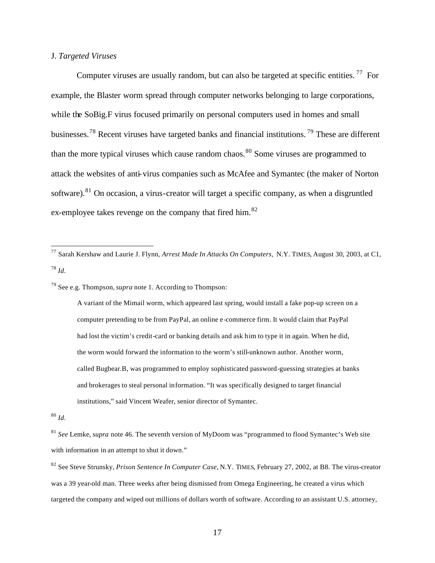# J. *Targeted Viruses*

Computer viruses are usually random, but can also be targeted at specific entities.<sup>77</sup> For example, the Blaster worm spread through computer networks belonging to large corporations, while the SoBig.F virus focused primarily on personal computers used in homes and small businesses.<sup>78</sup> Recent viruses have targeted banks and financial institutions. <sup>79</sup> These are different than the more typical viruses which cause random chaos.<sup>80</sup> Some viruses are programmed to attack the websites of anti-virus companies such as McAfee and Symantec (the maker of Norton software).<sup>81</sup> On occasion, a virus-creator will target a specific company, as when a disgruntled ex-employee takes revenge on the company that fired him.<sup>82</sup>

<sup>79</sup> See e.g. Thompson,*supra* note 1. According to Thompson:

A variant of the Mimail worm, which appeared last spring, would install a fake pop-up screen on a computer pretending to be from PayPal, an online e-commerce firm. It would claim that PayPal had lost the victim's credit-card or banking details and ask him to type it in again. When he did, the worm would forward the information to the worm's still-unknown author. Another worm, called Bugbear.B, was programmed to employ sophisticated password-guessing strategies at banks and brokerages to steal personal information. "It was specifically designed to target financial institutions," said Vincent Weafer, senior director of Symantec.

<sup>80</sup> *Id.*

 $\overline{a}$ 

<sup>81</sup> *See* Lemke, *supra* note 46. The seventh version of MyDoom was "programmed to flood Symantec's Web site with information in an attempt to shut it down."

<sup>77</sup> Sarah Kershaw and Laurie J. Flynn, *Arrest Made In Attacks On Computers*, N.Y. TIMES, August 30, 2003, at C1, <sup>78</sup> *Id.*

<sup>82</sup> See Steve Strunsky, *Prison Sentence In Computer Case*, N.Y. TIMES, February 27, 2002, at B8. The virus-creator was a 39 year-old man. Three weeks after being dismissed from Omega Engineering, he created a virus which targeted the company and wiped out millions of dollars worth of software. According to an assistant U.S. attorney,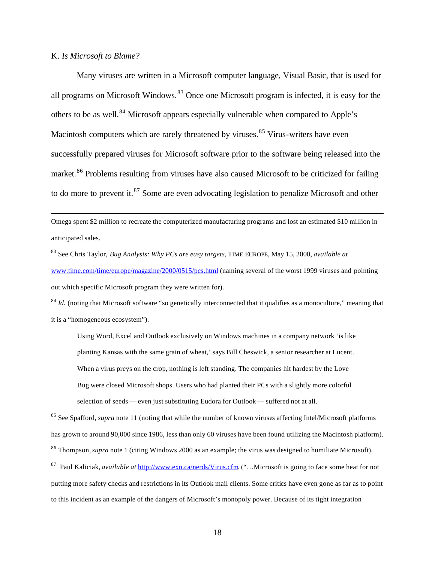### K. *Is Microsoft to Blame?*

 $\overline{a}$ 

Many viruses are written in a Microsoft computer language, Visual Basic, that is used for all programs on Microsoft Windows.<sup>83</sup> Once one Microsoft program is infected, it is easy for the others to be as well.<sup>84</sup> Microsoft appears especially vulnerable when compared to Apple's Macintosh computers which are rarely threatened by viruses.<sup>85</sup> Virus-writers have even successfully prepared viruses for Microsoft software prior to the software being released into the market.<sup>86</sup> Problems resulting from viruses have also caused Microsoft to be criticized for failing to do more to prevent it.<sup>87</sup> Some are even advocating legislation to penalize Microsoft and other

Omega spent \$2 million to recreate the computerized manufacturing programs and lost an estimated \$10 million in anticipated sales.

<sup>83</sup> See Chris Taylor, *Bug Analysis: Why PCs are easy targets*, TIME EUROPE, May 15, 2000, *available at* www.time.com/time/europe/magazine/2000/0515/pcs.html (naming several of the worst 1999 viruses and pointing out which specific Microsoft program they were written for).

<sup>84</sup> *Id.* (noting that Microsoft software "so genetically interconnected that it qualifies as a monoculture," meaning that it is a "homogeneous ecosystem").

Using Word, Excel and Outlook exclusively on Windows machines in a company network 'is like planting Kansas with the same grain of wheat,' says Bill Cheswick, a senior researcher at Lucent. When a virus preys on the crop, nothing is left standing. The companies hit hardest by the Love Bug were closed Microsoft shops. Users who had planted their PCs with a slightly more colorful selection of seeds — even just substituting Eudora for Outlook — suffered not at all.

<sup>85</sup> See Spafford, *supra* note 11 (noting that while the number of known viruses affecting Intel/Microsoft platforms has grown to around 90,000 since 1986, less than only 60 viruses have been found utilizing the Macintosh platform). <sup>86</sup> Thompson,*supra* note 1 (citing Windows 2000 as an example; the virus was designed to humiliate Microsoft).

<sup>87</sup> Paul Kaliciak, *available at* http://www.exn.ca/nerds/Virus.cfm. ("…Microsoft is going to face some heat for not putting more safety checks and restrictions in its Outlook mail clients. Some critics have even gone as far as to point to this incident as an example of the dangers of Microsoft's monopoly power. Because of its tight integration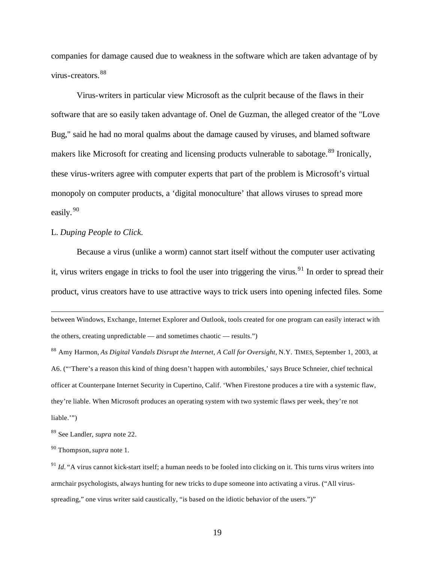companies for damage caused due to weakness in the software which are taken advantage of by virus-creators.<sup>88</sup>

Virus-writers in particular view Microsoft as the culprit because of the flaws in their software that are so easily taken advantage of. Onel de Guzman, the alleged creator of the "Love Bug," said he had no moral qualms about the damage caused by viruses, and blamed software makers like Microsoft for creating and licensing products vulnerable to sabotage.<sup>89</sup> Ironically, these virus-writers agree with computer experts that part of the problem is Microsoft's virtual monopoly on computer products, a 'digital monoculture' that allows viruses to spread more easily. <sup>90</sup>

# L. *Duping People to Click.*

 $\overline{a}$ 

Because a virus (unlike a worm) cannot start itself without the computer user activating it, virus writers engage in tricks to fool the user into triggering the virus.<sup>91</sup> In order to spread their product, virus creators have to use attractive ways to trick users into opening infected files. Some

between Windows, Exchange, Internet Explorer and Outlook, tools created for one program can easily interact with the others, creating unpredictable — and sometimes chaotic — results.")

<sup>88</sup> Amy Harmon, *As Digital Vandals Disrupt the Internet, A Call for Oversight*, N.Y. TIMES, September 1, 2003, at A6. ("'There's a reason this kind of thing doesn't happen with automobiles,' says Bruce Schneier, chief technical officer at Counterpane Internet Security in Cupertino, Calif. 'When Firestone produces a tire with a systemic flaw, they're liable. When Microsoft produces an operating system with two systemic flaws per week, they're not liable.'")

<sup>89</sup> See Landler, *supra* note 22.

<sup>90</sup> Thompson,*supra* note 1.

 $91$  *Id.* "A virus cannot kick-start itself; a human needs to be fooled into clicking on it. This turns virus writers into armchair psychologists, always hunting for new tricks to dupe someone into activating a virus. ("All virusspreading," one virus writer said caustically, "is based on the idiotic behavior of the users.")"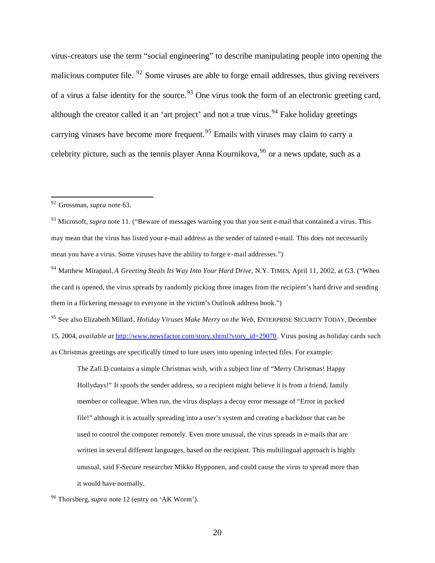virus-creators use the term "social engineering" to describe manipulating people into opening the malicious computer file.  $92$  Some viruses are able to forge email addresses, thus giving receivers of a virus a false identity for the source.<sup>93</sup> One virus took the form of an electronic greeting card, although the creator called it an 'art project' and not a true virus.<sup>94</sup> Fake holiday greetings carrying viruses have become more frequent.<sup>95</sup> Emails with viruses may claim to carry a celebrity picture, such as the tennis player Anna Kournikova,  $96$  or a news update, such as a

 $\overline{a}$ 

<sup>95</sup> See also Elizabeth Millard, *Holiday Viruses Make Merry on the Web*, ENTERPRISE SECURITY TODAY, December 15, 2004, *available at* http://www.newsfactor.com/story.xhtml?story\_id=29070. Virus posing as holiday cards such as Christmas greetings are specifically timed to lure users into opening infected files. For example:

The Zafi.D contains a simple Christmas wish, with a subject line of "Merry Christmas! Happy Hollydays!" It spoofs the sender address, so a recipient might believe it is from a friend, family member or colleague. When run, the virus displays a decoy error message of "Error in packed file!" although it is actually spreading into a user's system and creating a backdoor that can be used to control the computer remotely. Even more unusual, the virus spreads in e-mails that are written in several different languages, based on the recipient. This multilingual approach is highly unusual, said F-Secure researcher Mikko Hypponen, and could cause the virus to spread more than it would have normally.

<sup>92</sup> Grossman, *supra* note 63.

<sup>&</sup>lt;sup>93</sup> Microsoft, *supra* note 11. ("Beware of messages warning you that you sent e-mail that contained a virus. This may mean that the virus has listed your e-mail address as the sender of tainted e-mail. This does not necessarily mean you have a virus. Some viruses have the ability to forge e-mail addresses.")

<sup>94</sup> Matthew Mirapaul, *A Greeting Steals Its Way Into Your Hard Drive*, N.Y. TIMES, April 11, 2002, at G3. ("When the card is opened, the virus spreads by randomly picking three images from the recipient's hard drive and sending them in a flickering message to everyone in the victim's Outlook address book.")

<sup>96</sup> Thorsberg,*supra* note 12 (entry on 'AK Worm').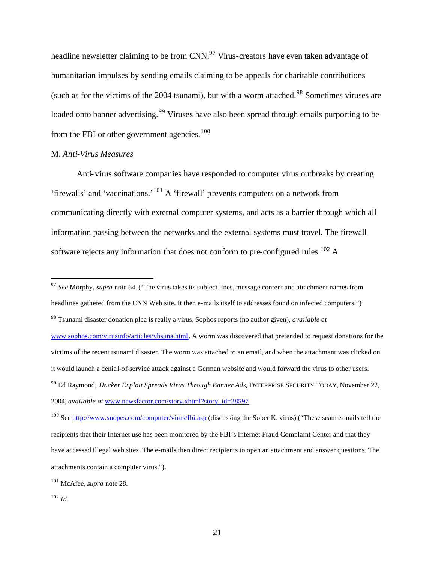headline newsletter claiming to be from CNN.<sup>97</sup> Virus-creators have even taken advantage of humanitarian impulses by sending emails claiming to be appeals for charitable contributions (such as for the victims of the 2004 tsunami), but with a worm attached.<sup>98</sup> Sometimes viruses are loaded onto banner advertising.<sup>99</sup> Viruses have also been spread through emails purporting to be from the FBI or other government agencies.<sup>100</sup>

### M. *Anti-Virus Measures*

Anti-virus software companies have responded to computer virus outbreaks by creating 'firewalls' and 'vaccinations.'<sup>101</sup> A 'firewall' prevents computers on a network from communicating directly with external computer systems, and acts as a barrier through which all information passing between the networks and the external systems must travel. The firewall software rejects any information that does not conform to pre-configured rules.<sup>102</sup> A

<sup>97</sup> *See* Morphy, *supra* note 64. ("The virus takes its subject lines, message content and attachment names from headlines gathered from the CNN Web site. It then e-mails itself to addresses found on infected computers.") <sup>98</sup> Tsunami disaster donation plea is really a virus, Sophos reports (no author given), *available at* www.sophos.com/virusinfo/articles/vbsuna.html. A worm was discovered that pretended to request donations for the victims of the recent tsunami disaster. The worm was attached to an email, and when the attachment was clicked on it would launch a denial-of-service attack against a German website and would forward the virus to other users. <sup>99</sup> Ed Raymond, *Hacker Exploit Spreads Virus Through Banner Ads*, ENTERPRISE SECURITY TODAY, November 22, 2004, *available at* www.newsfactor.com/story.xhtml?story\_id=28597.

<sup>100</sup> See http://www.snopes.com/computer/virus/fbi.asp (discussing the Sober K. virus) ("These scam e-mails tell the recipients that their Internet use has been monitored by the FBI's Internet Fraud Complaint Center and that they have accessed illegal web sites. The e-mails then direct recipients to open an attachment and answer questions. The attachments contain a computer virus.").

<sup>101</sup> McAfee, *supra* note 28.

<sup>102</sup> *Id.*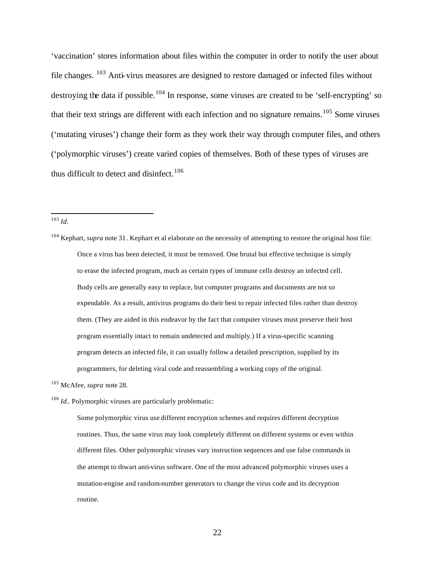'vaccination' stores information about files within the computer in order to notify the user about file changes. <sup>103</sup> Anti-virus measures are designed to restore damaged or infected files without destroying the data if possible.<sup>104</sup> In response, some viruses are created to be 'self-encrypting' so that their text strings are different with each infection and no signature remains.<sup>105</sup> Some viruses ('mutating viruses') change their form as they work their way through computer files, and others ('polymorphic viruses') create varied copies of themselves. Both of these types of viruses are thus difficult to detect and disinfect.<sup>106</sup>

<sup>103</sup> *Id.*

 $\overline{a}$ 

<sup>104</sup> Kephart, *supra* note 31. Kephart et al elaborate on the necessity of attempting to restore the original host file: Once a virus has been detected, it must be removed. One brutal but effective technique is simply to erase the infected program, much as certain types of immune cells destroy an infected cell. Body cells are generally easy to replace, but computer programs and documents are not so expendable. As a result, antivirus programs do their best to repair infected files rather than destroy them. (They are aided in this endeavor by the fact that computer viruses must preserve their host program essentially intact to remain undetected and multiply.) If a virus-specific scanning program detects an infected file, it can usually follow a detailed prescription, supplied by its programmers, for deleting viral code and reassembling a working copy of the original.

<sup>105</sup> McAfee, *supra* note 28.

<sup>106</sup> *Id.*. Polymorphic viruses are particularly problematic:

Some polymorphic virus use different encryption schemes and requires different decryption routines. Thus, the same virus may look completely different on different systems or even within different files. Other polymorphic viruses vary instruction sequences and use false commands in the attempt to thwart anti-virus software. One of the most advanced polymorphic viruses uses a mutation-engine and random-number generators to change the virus code and its decryption routine.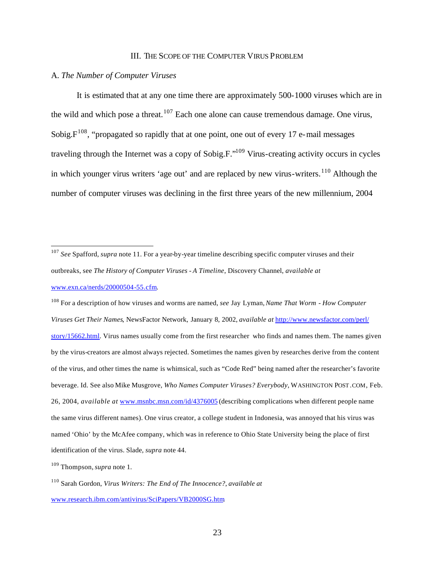#### III. THE SCOPE OF THE COMPUTER VIRUS PROBLEM

# A. *The Number of Computer Viruses*

It is estimated that at any one time there are approximately 500-1000 viruses which are in the wild and which pose a threat.<sup>107</sup> Each one alone can cause tremendous damage. One virus, Sobig. $F^{108}$ , "propagated so rapidly that at one point, one out of every 17 e-mail messages traveling through the Internet was a copy of Sobig.F."<sup>109</sup> Virus-creating activity occurs in cycles in which younger virus writers 'age out' and are replaced by new virus-writers.<sup>110</sup> Although the number of computer viruses was declining in the first three years of the new millennium, 2004

<sup>107</sup> *See* Spafford, *supra* note 11. For a year-by-year timeline describing specific computer viruses and their outbreaks, see *The History of Computer Viruses - A Timeline*, Discovery Channel, *available at* www.exn.ca/nerds/20000504-55.cfm.

<sup>108</sup> For a description of how viruses and worms are named, *see* Jay Lyman, *Name That Worm - How Computer Viruses Get Their Names*, NewsFactor Network, January 8, 2002, *available at* http://www.newsfactor.com/perl/ story/15662.html. Virus names usually come from the first researcher who finds and names them. The names given by the virus-creators are almost always rejected. Sometimes the names given by researches derive from the content of the virus, and other times the name is whimsical, such as "Code Red" being named after the researcher's favorite beverage. Id. See also Mike Musgrove, *Who Names Computer Viruses? Everybody*, WASHINGTON POST .COM, Feb. 26, 2004, *available at* www.msnbc.msn.com/id/4376005 (describing complications when different people name the same virus different names). One virus creator, a college student in Indonesia, was annoyed that his virus was named 'Ohio' by the McAfee company, which was in reference to Ohio State University being the place of first identification of the virus. Slade, *supra* note 44.

<sup>109</sup> Thompson,*supra* note 1.

 $\overline{a}$ 

<sup>110</sup> Sarah Gordon, *Virus Writers: The End of The Innocence?*, *available at* www.research.ibm.com/antivirus/SciPapers/VB2000SG.htm.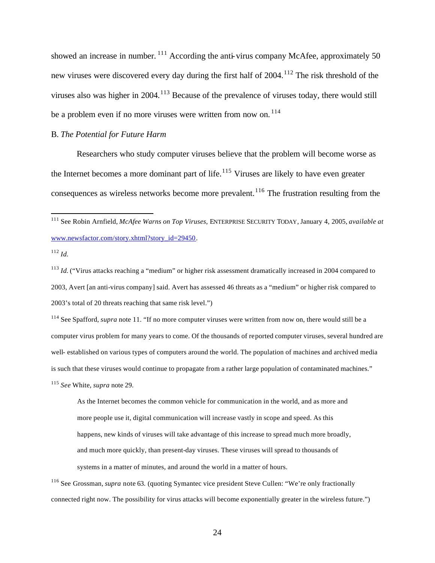showed an increase in number.  $111$  According the anti-virus company McAfee, approximately 50 new viruses were discovered every day during the first half of 2004.<sup>112</sup> The risk threshold of the viruses also was higher in 2004.<sup>113</sup> Because of the prevalence of viruses today, there would still be a problem even if no more viruses were written from now on.<sup>114</sup>

# B. *The Potential for Future Harm*

Researchers who study computer viruses believe that the problem will become worse as the Internet becomes a more dominant part of life.<sup>115</sup> Viruses are likely to have even greater consequences as wireless networks become more prevalent.<sup>116</sup> The frustration resulting from the

 $\overline{a}$ 

<sup>113</sup> *Id.* ("Virus attacks reaching a "medium" or higher risk assessment dramatically increased in 2004 compared to 2003, Avert [an anti-virus company] said. Avert has assessed 46 threats as a "medium" or higher risk compared to 2003's total of 20 threats reaching that same risk level.")

<sup>114</sup> See Spafford, *supra* note 11. "If no more computer viruses were written from now on, there would still be a computer virus problem for many years to come. Of the thousands of reported computer viruses, several hundred are well- established on various types of computers around the world. The population of machines and archived media is such that these viruses would continue to propagate from a rather large population of contaminated machines."

<sup>115</sup> *See* White, *supra* note 29.

As the Internet becomes the common vehicle for communication in the world, and as more and more people use it, digital communication will increase vastly in scope and speed. As this happens, new kinds of viruses will take advantage of this increase to spread much more broadly, and much more quickly, than present-day viruses. These viruses will spread to thousands of systems in a matter of minutes, and around the world in a matter of hours.

<sup>116</sup> See Grossman, *supra* note 63. (quoting Symantec vice president Steve Cullen: "We're only fractionally connected right now. The possibility for virus attacks will become exponentially greater in the wireless future.")

<sup>111</sup> See Robin Arnfield, *McAfee Warns on Top Viruses*, ENTERPRISE SECURITY TODAY, January 4, 2005, *available at* www.newsfactor.com/story.xhtml?story\_id=29450.

<sup>112</sup> *Id.*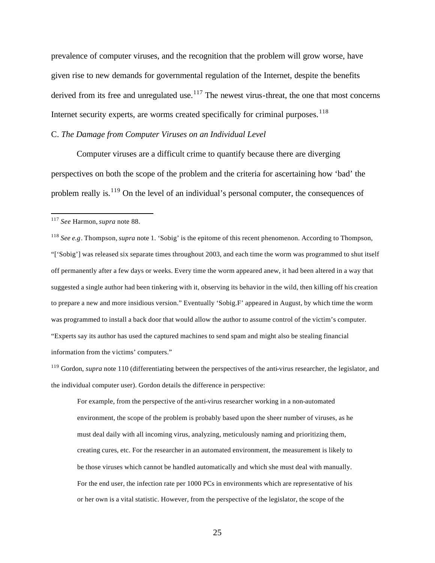prevalence of computer viruses, and the recognition that the problem will grow worse, have given rise to new demands for governmental regulation of the Internet, despite the benefits derived from its free and unregulated use.<sup>117</sup> The newest virus-threat, the one that most concerns Internet security experts, are worms created specifically for criminal purposes.<sup>118</sup>

### C. *The Damage from Computer Viruses on an Individual Level*

Computer viruses are a difficult crime to quantify because there are diverging perspectives on both the scope of the problem and the criteria for ascertaining how 'bad' the problem really is.<sup>119</sup> On the level of an individual's personal computer, the consequences of

 $\overline{a}$ 

<sup>118</sup> *See e.g*. Thompson,*supra* note 1. 'Sobig' is the epitome of this recent phenomenon. According to Thompson, "['Sobig'] was released six separate times throughout 2003, and each time the worm was programmed to shut itself off permanently after a few days or weeks. Every time the worm appeared anew, it had been altered in a way that suggested a single author had been tinkering with it, observing its behavior in the wild, then killing off his creation to prepare a new and more insidious version." Eventually 'Sobig.F' appeared in August, by which time the worm was programmed to install a back door that would allow the author to assume control of the victim's computer. "Experts say its author has used the captured machines to send spam and might also be stealing financial information from the victims' computers."

<sup>119</sup> Gordon, *supra* note 110 (differentiating between the perspectives of the anti-virus researcher, the legislator, and the individual computer user). Gordon details the difference in perspective:

For example, from the perspective of the anti-virus researcher working in a non-automated environment, the scope of the problem is probably based upon the sheer number of viruses, as he must deal daily with all incoming virus, analyzing, meticulously naming and prioritizing them, creating cures, etc. For the researcher in an automated environment, the measurement is likely to be those viruses which cannot be handled automatically and which she must deal with manually. For the end user, the infection rate per 1000 PCs in environments which are representative of his or her own is a vital statistic. However, from the perspective of the legislator, the scope of the

<sup>117</sup> *See* Harmon, *supra* note 88.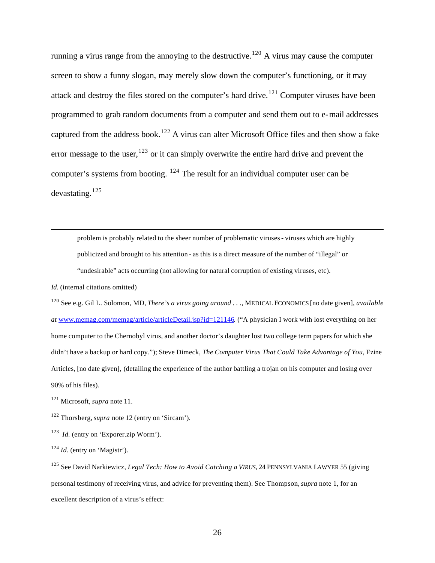running a virus range from the annoying to the destructive.<sup>120</sup> A virus may cause the computer screen to show a funny slogan, may merely slow down the computer's functioning, or it may attack and destroy the files stored on the computer's hard drive.<sup>121</sup> Computer viruses have been programmed to grab random documents from a computer and send them out to e-mail addresses captured from the address book.<sup>122</sup> A virus can alter Microsoft Office files and then show a fake error message to the user,  $123$  or it can simply overwrite the entire hard drive and prevent the computer's systems from booting. <sup>124</sup> The result for an individual computer user can be devastating.<sup>125</sup>

problem is probably related to the sheer number of problematic viruses - viruses which are highly publicized and brought to his attention - as this is a direct measure of the number of "illegal" or "undesirable" acts occurring (not allowing for natural corruption of existing viruses, etc).

*Id.* (internal citations omitted)

 $\overline{a}$ 

<sup>120</sup> See e.g. Gil L. Solomon, MD, *There's a virus going around . .* ., MEDICAL ECONOMICS [no date given], *available at* www.memag.com/memag/article/articleDetail.jsp?id=121146. ("A physician I work with lost everything on her home computer to the Chernobyl virus, and another doctor's daughter lost two college term papers for which she didn't have a backup or hard copy."); Steve Dimeck, *The Computer Virus That Could Take Advantage of You*, Ezine Articles, [no date given], (detailing the experience of the author battling a trojan on his computer and losing over 90% of his files).

<sup>121</sup> Microsoft, *supra* note 11.

<sup>122</sup> Thorsberg,*supra* note 12 (entry on 'Sircam').

<sup>123</sup> *Id.* (entry on 'Exporer.zip Worm').

<sup>124</sup> *Id.* (entry on 'Magistr').

<sup>125</sup> See David Narkiewicz, *Legal Tech: How to Avoid Catching a VIRUS*, 24 PENNSYLVANIA LAWYER 55 (giving personal testimony of receiving virus, and advice for preventing them). See Thompson,*supra* note 1, for an excellent description of a virus's effect: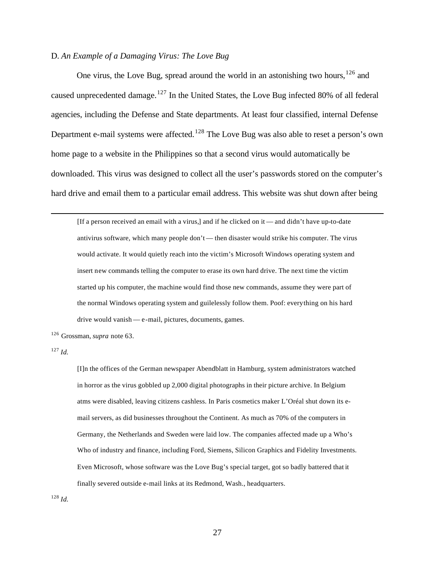### D. *An Example of a Damaging Virus: The Love Bug*

One virus, the Love Bug, spread around the world in an astonishing two hours,  $126$  and caused unprecedented damage.<sup>127</sup> In the United States, the Love Bug infected 80% of all federal agencies, including the Defense and State departments. At least four classified, internal Defense Department e-mail systems were affected.<sup>128</sup> The Love Bug was also able to reset a person's own home page to a website in the Philippines so that a second virus would automatically be downloaded. This virus was designed to collect all the user's passwords stored on the computer's hard drive and email them to a particular email address. This website was shut down after being

[If a person received an email with a virus,] and if he clicked on it — and didn't have up-to-date antivirus software, which many people don't — then disaster would strike his computer. The virus would activate. It would quietly reach into the victim's Microsoft Windows operating system and insert new commands telling the computer to erase its own hard drive. The next time the victim started up his computer, the machine would find those new commands, assume they were part of the normal Windows operating system and guilelessly follow them. Poof: everything on his hard drive would vanish — e-mail, pictures, documents, games.

<sup>126</sup> Grossman, *supra* note 63.

<sup>127</sup> *Id.*

 $\overline{a}$ 

[I]n the offices of the German newspaper Abendblatt in Hamburg, system administrators watched in horror as the virus gobbled up 2,000 digital photographs in their picture archive. In Belgium atms were disabled, leaving citizens cashless. In Paris cosmetics maker L'Oréal shut down its email servers, as did businesses throughout the Continent. As much as 70% of the computers in Germany, the Netherlands and Sweden were laid low. The companies affected made up a Who's Who of industry and finance, including Ford, Siemens, Silicon Graphics and Fidelity Investments. Even Microsoft, whose software was the Love Bug's special target, got so badly battered that it finally severed outside e-mail links at its Redmond, Wash., headquarters.

<sup>128</sup> *Id.*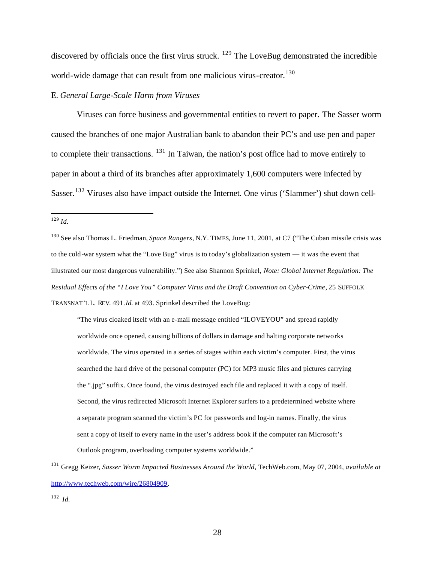discovered by officials once the first virus struck.  $^{129}$  The LoveBug demonstrated the incredible world-wide damage that can result from one malicious virus-creator.<sup>130</sup>

# E. *General Large-Scale Harm from Viruses*

Viruses can force business and governmental entities to revert to paper. The Sasser worm caused the branches of one major Australian bank to abandon their PC's and use pen and paper to complete their transactions. <sup>131</sup> In Taiwan, the nation's post office had to move entirely to paper in about a third of its branches after approximately 1,600 computers were infected by Sasser.<sup>132</sup> Viruses also have impact outside the Internet. One virus ('Slammer') shut down cell-

"The virus cloaked itself with an e-mail message entitled "ILOVEYOU" and spread rapidly worldwide once opened, causing billions of dollars in damage and halting corporate networks worldwide. The virus operated in a series of stages within each victim's computer. First, the virus searched the hard drive of the personal computer (PC) for MP3 music files and pictures carrying the ".jpg" suffix. Once found, the virus destroyed each file and replaced it with a copy of itself. Second, the virus redirected Microsoft Internet Explorer surfers to a predetermined website where a separate program scanned the victim's PC for passwords and log-in names. Finally, the virus sent a copy of itself to every name in the user's address book if the computer ran Microsoft's Outlook program, overloading computer systems worldwide."

 $\overline{a}$ <sup>129</sup> *Id.*

<sup>130</sup> See also Thomas L. Friedman, *Space Rangers*, N.Y. TIMES, June 11, 2001, at C7 ("The Cuban missile crisis was to the cold-war system what the "Love Bug" virus is to today's globalization system — it was the event that illustrated our most dangerous vulnerability.") See also Shannon Sprinkel, *Note: Global Internet Regulation: The Residual Effects of the "I Love You" Computer Virus and the Draft Convention on Cyber-Crime*, 25 SUFFOLK TRANSNAT'L L. REV. 491.*Id.* at 493. Sprinkel described the LoveBug:

<sup>131</sup> Gregg Keizer, *Sasser Worm Impacted Businesses Around the World*, TechWeb.com, May 07, 2004, *available at* http://www.techweb.com/wire/26804909.

<sup>132</sup> *Id.*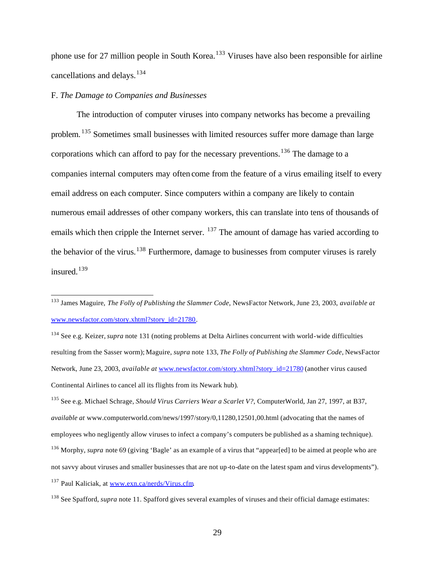phone use for 27 million people in South Korea.<sup>133</sup> Viruses have also been responsible for airline cancellations and delays.<sup>134</sup>

### F. *The Damage to Companies and Businesses*

The introduction of computer viruses into company networks has become a prevailing problem. <sup>135</sup> Sometimes small businesses with limited resources suffer more damage than large corporations which can afford to pay for the necessary preventions.<sup>136</sup> The damage to a companies internal computers may often come from the feature of a virus emailing itself to every email address on each computer. Since computers within a company are likely to contain numerous email addresses of other company workers, this can translate into tens of thousands of emails which then cripple the Internet server. <sup>137</sup> The amount of damage has varied according to the behavior of the virus.<sup>138</sup> Furthermore, damage to businesses from computer viruses is rarely insured.<sup>139</sup>

<sup>133</sup> James Maguire, *The Folly of Publishing the Slammer Code*, NewsFactor Network, June 23, 2003, *available at* www.newsfactor.com/story.xhtml?story\_id=21780.

<sup>134</sup> See e.g. Keizer, *supra* note 131 (noting problems at Delta Airlines concurrent with world-wide difficulties resulting from the Sasser worm); Maguire, *supra* note 133, *The Folly of Publishing the Slammer Code*, NewsFactor Network, June 23, 2003, *available at* www.newsfactor.com/story.xhtml?story\_id=21780 (another virus caused Continental Airlines to cancel all its flights from its Newark hub).

<sup>135</sup> See e.g. Michael Schrage, *Should Virus Carriers Wear a Scarlet V?*, ComputerWorld, Jan 27, 1997, at B37, *available at* www.computerworld.com/news/1997/story/0,11280,12501,00.html (advocating that the names of employees who negligently allow viruses to infect a company's computers be published as a shaming technique). <sup>136</sup> Morphy, *supra* note 69 (giving 'Bagle' as an example of a virus that "appear[ed] to be aimed at people who are not savvy about viruses and smaller businesses that are not up-to-date on the latest spam and virus developments").

<sup>137</sup> Paul Kaliciak, at www.exn.ca/nerds/Virus.cfm.

<sup>138</sup> See Spafford, *supra* note 11. Spafford gives several examples of viruses and their official damage estimates: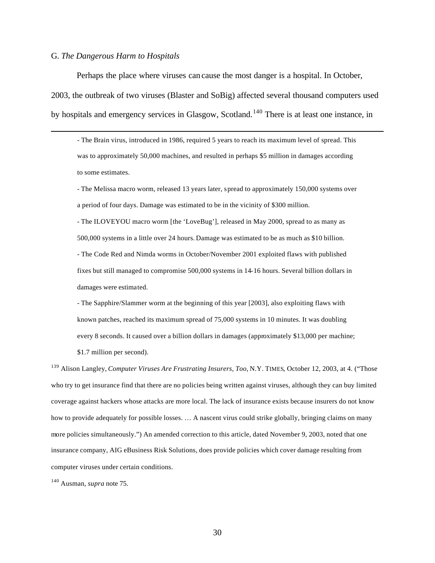### G. *The Dangerous Harm to Hospitals*

 $\overline{a}$ 

Perhaps the place where viruses can cause the most danger is a hospital. In October, 2003, the outbreak of two viruses (Blaster and SoBig) affected several thousand computers used by hospitals and emergency services in Glasgow, Scotland.<sup>140</sup> There is at least one instance, in

- The Brain virus, introduced in 1986, required 5 years to reach its maximum level of spread. This was to approximately 50,000 machines, and resulted in perhaps \$5 million in damages according to some estimates.

- The Melissa macro worm, released 13 years later, spread to approximately 150,000 systems over a period of four days. Damage was estimated to be in the vicinity of \$300 million.

- The ILOVEYOU macro worm [the 'LoveBug'], released in May 2000, spread to as many as 500,000 systems in a little over 24 hours. Damage was estimated to be as much as \$10 billion. - The Code Red and Nimda worms in October/November 2001 exploited flaws with published fixes but still managed to compromise 500,000 systems in 14-16 hours. Several billion dollars in damages were estimated.

- The Sapphire/Slammer worm at the beginning of this year [2003], also exploiting flaws with known patches, reached its maximum spread of 75,000 systems in 10 minutes. It was doubling every 8 seconds. It caused over a billion dollars in damages (approximately \$13,000 per machine; \$1.7 million per second).

<sup>139</sup> Alison Langley, *Computer Viruses Are Frustrating Insurers, Too*, N.Y. TIMES, October 12, 2003, at 4. ("Those who try to get insurance find that there are no policies being written against viruses, although they can buy limited coverage against hackers whose attacks are more local. The lack of insurance exists because insurers do not know how to provide adequately for possible losses. … A nascent virus could strike globally, bringing claims on many more policies simultaneously.") An amended correction to this article, dated November 9, 2003, noted that one insurance company, AIG eBusiness Risk Solutions, does provide policies which cover damage resulting from computer viruses under certain conditions.

<sup>140</sup> Ausman, *supra* note 75.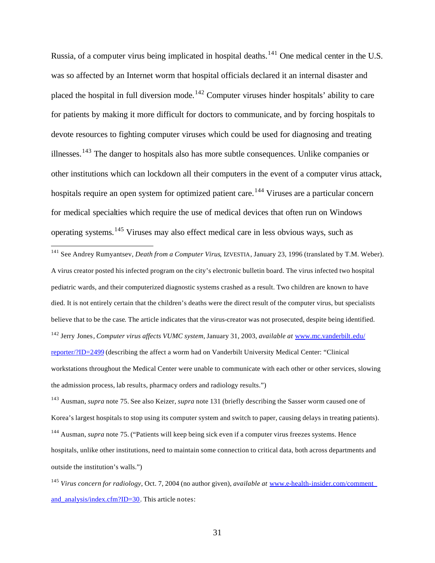Russia, of a computer virus being implicated in hospital deaths.<sup>141</sup> One medical center in the U.S. was so affected by an Internet worm that hospital officials declared it an internal disaster and placed the hospital in full diversion mode.<sup>142</sup> Computer viruses hinder hospitals' ability to care for patients by making it more difficult for doctors to communicate, and by forcing hospitals to devote resources to fighting computer viruses which could be used for diagnosing and treating illnesses.<sup>143</sup> The danger to hospitals also has more subtle consequences. Unlike companies or other institutions which can lockdown all their computers in the event of a computer virus attack, hospitals require an open system for optimized patient care.<sup>144</sup> Viruses are a particular concern for medical specialties which require the use of medical devices that often run on Windows operating systems.<sup>145</sup> Viruses may also effect medical care in less obvious ways, such as

<sup>141</sup> See Andrey Rumyantsev, *Death from a Computer Virus*, IZVESTIA, January 23, 1996 (translated by T.M. Weber). A virus creator posted his infected program on the city's electronic bulletin board. The virus infected two hospital pediatric wards, and their computerized diagnostic systems crashed as a result. Two children are known to have died. It is not entirely certain that the children's deaths were the direct result of the computer virus, but specialists believe that to be the case. The article indicates that the virus-creator was not prosecuted, despite being identified. <sup>142</sup> Jerry Jones*, Computer virus affects VUMC system*, January 31, 2003, *available at* www.mc.vanderbilt.edu/ reporter/?ID=2499 (describing the affect a worm had on Vanderbilt University Medical Center: "Clinical workstations throughout the Medical Center were unable to communicate with each other or other services, slowing the admission process, lab results, pharmacy orders and radiology results.")

 $\overline{a}$ 

<sup>143</sup> Ausman, *supra* note 75. See also Keizer, *supra* note 131 (briefly describing the Sasser worm caused one of Korea's largest hospitals to stop using its computer system and switch to paper, causing delays in treating patients).

<sup>144</sup> Ausman, *supra* note 75. ("Patients will keep being sick even if a computer virus freezes systems. Hence hospitals, unlike other institutions, need to maintain some connection to critical data, both across departments and outside the institution's walls.")

<sup>145</sup> *Virus concern for radiology*, Oct. 7, 2004 (no author given), *available at* www.e-health-insider.com/comment\_ and analysis/index.cfm?ID=30. This article notes: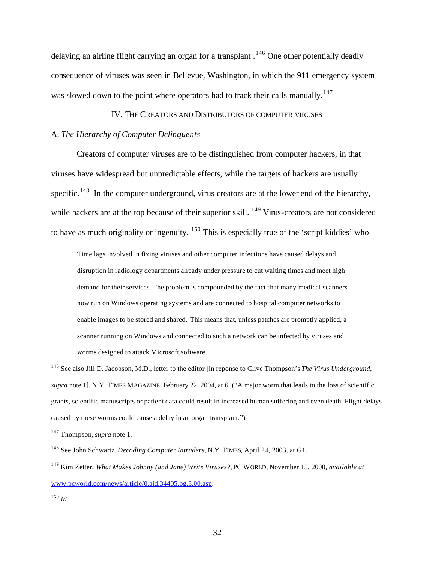delaying an airline flight carrying an organ for a transplant .<sup>146</sup> One other potentially deadly consequence of viruses was seen in Bellevue, Washington, in which the 911 emergency system was slowed down to the point where operators had to track their calls manually.<sup>147</sup>

### IV. THE CREATORS AND DISTRIBUTORS OF COMPUTER VIRUSES

### A. *The Hierarchy of Computer Delinquents*

Creators of computer viruses are to be distinguished from computer hackers, in that viruses have widespread but unpredictable effects, while the targets of hackers are usually specific.<sup>148</sup> In the computer underground, virus creators are at the lower end of the hierarchy, while hackers are at the top because of their superior skill. <sup>149</sup> Virus-creators are not considered to have as much originality or ingenuity. <sup>150</sup> This is especially true of the 'script kiddies' who

Time lags involved in fixing viruses and other computer infections have caused delays and disruption in radiology departments already under pressure to cut waiting times and meet high demand for their services. The problem is compounded by the fact that many medical scanners now run on Windows operating systems and are connected to hospital computer networks to enable images to be stored and shared. This means that, unless patches are promptly applied, a scanner running on Windows and connected to such a network can be infected by viruses and worms designed to attack Microsoft software.

<sup>146</sup> See also Jill D. Jacobson, M.D., letter to the editor [in reponse to Clive Thompson's *The Virus Underground*, *supra* note 1], N.Y. TIMES MAGAZINE, February 22, 2004, at 6. ("A major worm that leads to the loss of scientific grants, scientific manuscripts or patient data could result in increased human suffering and even death. Flight delays caused by these worms could cause a delay in an organ transplant.")

<sup>147</sup> Thompson,*supra* note 1.

<sup>148</sup> See John Schwartz, *Decoding Computer Intruders*, N.Y. TIMES, April 24, 2003, at G1.

<sup>149</sup> Kim Zetter, *What Makes Johnny (and Jane) Write Viruses?,* PC WORLD, November 15, 2000, *available at* www.pcworld.com/news/article/0,aid,34405,pg,3,00.asp.

<sup>150</sup> *Id.*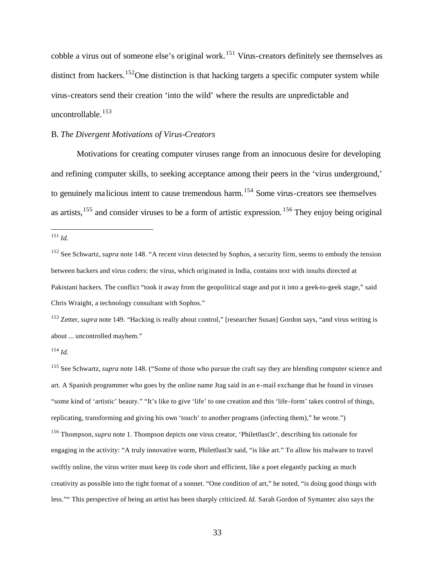cobble a virus out of someone else's original work.<sup>151</sup> Virus-creators definitely see themselves as distinct from hackers.<sup>152</sup>One distinction is that hacking targets a specific computer system while virus-creators send their creation 'into the wild' where the results are unpredictable and uncontrollable.<sup>153</sup>

### B. *The Divergent Motivations of Virus-Creators*

Motivations for creating computer viruses range from an innocuous desire for developing and refining computer skills, to seeking acceptance among their peers in the 'virus underground,' to genuinely malicious intent to cause tremendous harm.<sup>154</sup> Some virus-creators see themselves as artists,  $155$  and consider viruses to be a form of artistic expression.  $156$  They enjoy being original

<sup>151</sup> *Id.*

 $\overline{a}$ 

<sup>153</sup> Zetter, *supra* note 149. "Hacking is really about control," [researcher Susan] Gordon says, "and virus writing is about ... uncontrolled mayhem."

<sup>155</sup> See Schwartz, *supra* note 148. ("Some of those who pursue the craft say they are blending computer science and art. A Spanish programmer who goes by the online name Jtag said in an e-mail exchange that he found in viruses "some kind of 'artistic' beauty." "It's like to give 'life' to one creation and this 'life-form' takes control of things, replicating, transforming and giving his own 'touch' to another programs (infecting them)," he wrote.")

<sup>156</sup> Thompson,*supra* note 1. Thompson depicts one virus creator, 'Philet0ast3r', describing his rationale for engaging in the activity: "A truly innovative worm, Philet0ast3r said, "is like art." To allow his malware to travel swiftly online, the virus writer must keep its code short and efficient, like a poet elegantly packing as much creativity as possible into the tight format of a sonnet. "One condition of art," he noted, "is doing good things with less."" This perspective of being an artist has been sharply criticized. *Id.* Sarah Gordon of Symantec also says the

<sup>152</sup> See Schwartz, *supra* note 148. "A recent virus detected by Sophos, a security firm, seems to embody the tension between hackers and virus coders: the virus, which originated in India, contains text with insults directed at Pakistani hackers. The conflict "took it away from the geopolitical stage and put it into a geek-to-geek stage," said Chris Wraight, a technology consultant with Sophos."

<sup>154</sup> *Id.*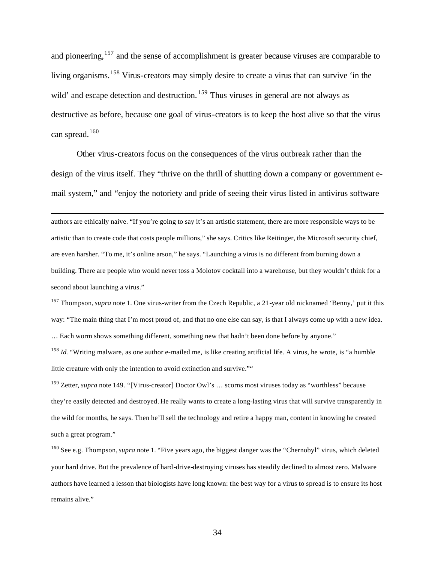and pioneering,<sup>157</sup> and the sense of accomplishment is greater because viruses are comparable to living organisms.<sup>158</sup> Virus-creators may simply desire to create a virus that can survive 'in the wild' and escape detection and destruction. <sup>159</sup> Thus viruses in general are not always as destructive as before, because one goal of virus-creators is to keep the host alive so that the virus can spread.<sup>160</sup>

Other virus-creators focus on the consequences of the virus outbreak rather than the design of the virus itself. They "thrive on the thrill of shutting down a company or government email system," and "enjoy the notoriety and pride of seeing their virus listed in antivirus software

 $\overline{a}$ 

authors are ethically naive. "If you're going to say it's an artistic statement, there are more responsible ways to be artistic than to create code that costs people millions," she says. Critics like Reitinger, the Microsoft security chief, are even harsher. "To me, it's online arson," he says. "Launching a virus is no different from burning down a building. There are people who would never toss a Molotov cocktail into a warehouse, but they wouldn't think for a second about launching a virus."

<sup>157</sup> Thompson,*supra* note 1. One virus-writer from the Czech Republic, a 21-year old nicknamed 'Benny,' put it this way: "The main thing that I'm most proud of, and that no one else can say, is that I always come up with a new idea. … Each worm shows something different, something new that hadn't been done before by anyone."

<sup>158</sup> *Id.* "Writing malware, as one author e-mailed me, is like creating artificial life. A virus, he wrote, is "a humble little creature with only the intention to avoid extinction and survive.""

<sup>159</sup> Zetter, *supra* note 149. "[Virus-creator] Doctor Owl's … scorns most viruses today as "worthless" because they're easily detected and destroyed. He really wants to create a long-lasting virus that will survive transparently in the wild for months, he says. Then he'll sell the technology and retire a happy man, content in knowing he created such a great program."

<sup>160</sup> See e.g. Thompson,*supra* note 1. "Five years ago, the biggest danger was the "Chernobyl" virus, which deleted your hard drive. But the prevalence of hard-drive-destroying viruses has steadily declined to almost zero. Malware authors have learned a lesson that biologists have long known: the best way for a virus to spread is to ensure its host remains alive."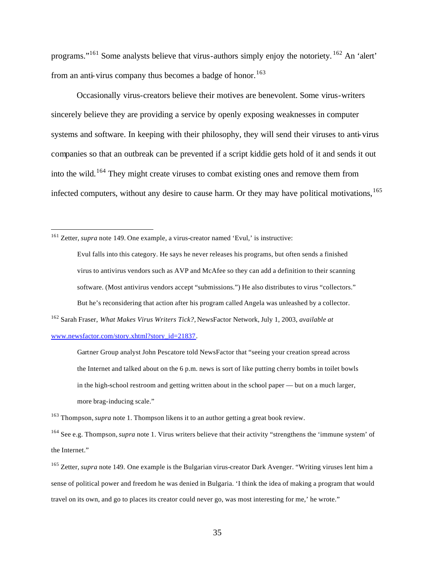programs."<sup>161</sup> Some analysts believe that virus-authors simply enjoy the notoriety. <sup>162</sup> An 'alert' from an anti-virus company thus becomes a badge of honor.<sup>163</sup>

Occasionally virus-creators believe their motives are benevolent. Some virus-writers sincerely believe they are providing a service by openly exposing weaknesses in computer systems and software. In keeping with their philosophy, they will send their viruses to anti-virus companies so that an outbreak can be prevented if a script kiddie gets hold of it and sends it out into the wild.<sup>164</sup> They might create viruses to combat existing ones and remove them from infected computers, without any desire to cause harm. Or they may have political motivations, <sup>165</sup>

<sup>161</sup> Zetter, *supra* note 149. One example, a virus-creator named 'Evul,' is instructive:

 $\overline{a}$ 

Evul falls into this category. He says he never releases his programs, but often sends a finished virus to antivirus vendors such as AVP and McAfee so they can add a definition to their scanning software. (Most antivirus vendors accept "submissions.") He also distributes to virus "collectors." But he's reconsidering that action after his program called Angela was unleashed by a collector.

<sup>162</sup> Sarah Fraser, *What Makes Virus Writers Tick?,* NewsFactor Network, July 1, 2003, *available at* www.newsfactor.com/story.xhtml?story\_id=21837.

Gartner Group analyst John Pescatore told NewsFactor that "seeing your creation spread across the Internet and talked about on the 6 p.m. news is sort of like putting cherry bombs in toilet bowls in the high-school restroom and getting written about in the school paper — but on a much larger, more brag-inducing scale."

<sup>163</sup> Thompson,*supra* note 1. Thompson likens it to an author getting a great book review.

<sup>164</sup> See e.g. Thompson,*supra* note 1. Virus writers believe that their activity "strengthens the 'immune system' of the Internet."

<sup>165</sup> Zetter, *supra* note 149. One example is the Bulgarian virus-creator Dark Avenger. "Writing viruses lent him a sense of political power and freedom he was denied in Bulgaria. 'I think the idea of making a program that would travel on its own, and go to places its creator could never go, was most interesting for me,' he wrote."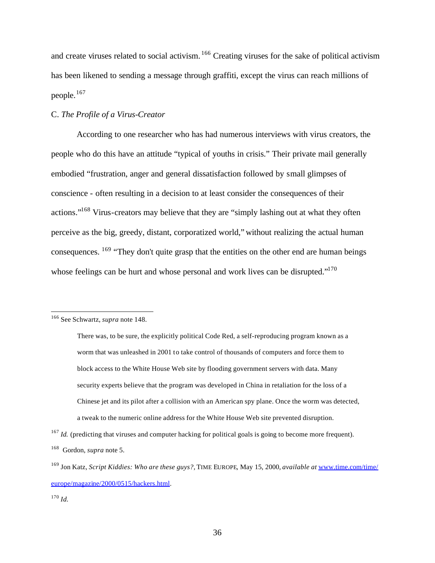and create viruses related to social activism.<sup>166</sup> Creating viruses for the sake of political activism has been likened to sending a message through graffiti, except the virus can reach millions of people.<sup>167</sup>

# C. *The Profile of a Virus-Creator*

According to one researcher who has had numerous interviews with virus creators, the people who do this have an attitude "typical of youths in crisis." Their private mail generally embodied "frustration, anger and general dissatisfaction followed by small glimpses of conscience - often resulting in a decision to at least consider the consequences of their actions."<sup>168</sup> Virus-creators may believe that they are "simply lashing out at what they often perceive as the big, greedy, distant, corporatized world," without realizing the actual human consequences.  $169$  "They don't quite grasp that the entities on the other end are human beings whose feelings can be hurt and whose personal and work lives can be disrupted."<sup>170</sup>

<sup>166</sup> See Schwartz, *supra* note 148.

There was, to be sure, the explicitly political Code Red, a self-reproducing program known as a worm that was unleashed in 2001 to take control of thousands of computers and force them to block access to the White House Web site by flooding government servers with data. Many security experts believe that the program was developed in China in retaliation for the loss of a Chinese jet and its pilot after a collision with an American spy plane. Once the worm was detected, a tweak to the numeric online address for the White House Web site prevented disruption.

<sup>&</sup>lt;sup>167</sup> *Id.* (predicting that viruses and computer hacking for political goals is going to become more frequent). <sup>168</sup> Gordon, *supra* note 5.

<sup>169</sup> Jon Katz, *Script Kiddies: Who are these guys?,* TIME EUROPE, May 15, 2000, *available at* www.time.com/time/ europe/magazine/2000/0515/hackers.html.

<sup>170</sup> *Id.*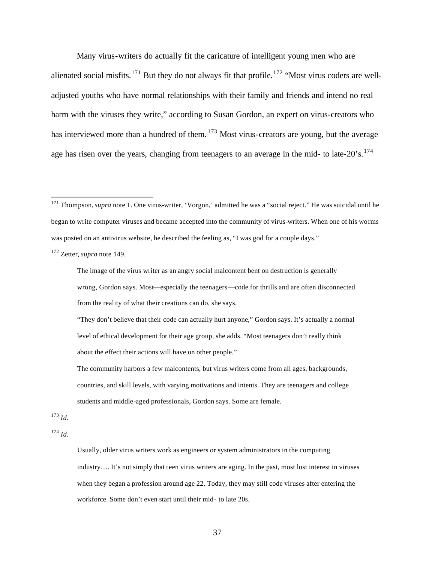Many virus-writers do actually fit the caricature of intelligent young men who are alienated social misfits.<sup>171</sup> But they do not always fit that profile.<sup>172</sup> "Most virus coders are welladjusted youths who have normal relationships with their family and friends and intend no real harm with the viruses they write," according to Susan Gordon, an expert on virus-creators who has interviewed more than a hundred of them.  $173$  Most virus-creators are young, but the average age has risen over the years, changing from teenagers to an average in the mid- to late- $20^{\circ}$ s.<sup>174</sup>

 $\overline{a}$ 

"They don't believe that their code can actually hurt anyone," Gordon says. It's actually a normal level of ethical development for their age group, she adds. "Most teenagers don't really think about the effect their actions will have on other people."

<sup>173</sup> *Id.*

<sup>174</sup> *Id.*

Usually, older virus writers work as engineers or system administrators in the computing industry.... It's not simply that teen virus writers are aging. In the past, most lost interest in viruses when they began a profession around age 22. Today, they may still code viruses after entering the workforce. Some don't even start until their mid- to late 20s.

<sup>&</sup>lt;sup>171</sup> Thompson, *supra* note 1. One virus-writer, 'Vorgon,' admitted he was a "social reject." He was suicidal until he began to write computer viruses and became accepted into the community of virus-writers. When one of his worms was posted on an antivirus website, he described the feeling as, "I was god for a couple days."

<sup>172</sup> Zetter, *supra* note 149.

The image of the virus writer as an angry social malcontent bent on destruction is generally wrong, Gordon says. Most—especially the teenagers—code for thrills and are often disconnected from the reality of what their creations can do, she says.

The community harbors a few malcontents, but virus writers come from all ages, backgrounds, countries, and skill levels, with varying motivations and intents. They are teenagers and college students and middle-aged professionals, Gordon says. Some are female.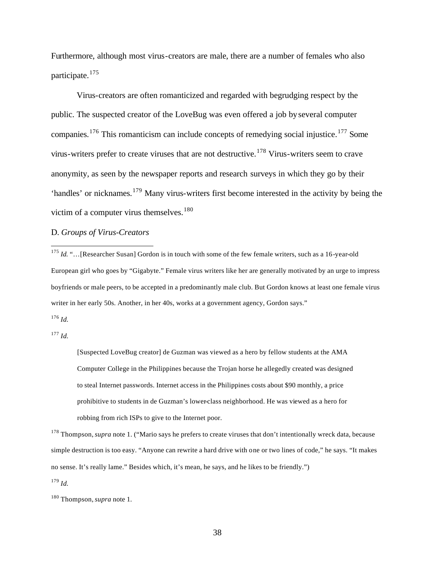Furthermore, although most virus-creators are male, there are a number of females who also participate.<sup>175</sup>

Virus-creators are often romanticized and regarded with begrudging respect by the public. The suspected creator of the LoveBug was even offered a job by several computer companies.<sup>176</sup> This romanticism can include concepts of remedying social injustice.<sup>177</sup> Some virus-writers prefer to create viruses that are not destructive.<sup>178</sup> Virus-writers seem to crave anonymity, as seen by the newspaper reports and research surveys in which they go by their 'handles' or nicknames.<sup>179</sup> Many virus-writers first become interested in the activity by being the victim of a computer virus themselves. $180$ 

# D. *Groups of Virus-Creators*

<sup>175</sup> *Id.* "...[Researcher Susan] Gordon is in touch with some of the few female writers, such as a 16-year-old European girl who goes by "Gigabyte." Female virus writers like her are generally motivated by an urge to impress boyfriends or male peers, to be accepted in a predominantly male club. But Gordon knows at least one female virus writer in her early 50s. Another, in her 40s, works at a government agency, Gordon says."

<sup>176</sup> *Id.*

 $\overline{a}$ 

<sup>177</sup> *Id.*

[Suspected LoveBug creator] de Guzman was viewed as a hero by fellow students at the AMA Computer College in the Philippines because the Trojan horse he allegedly created was designed to steal Internet passwords. Internet access in the Philippines costs about \$90 monthly, a price prohibitive to students in de Guzman's lower-class neighborhood. He was viewed as a hero for robbing from rich ISPs to give to the Internet poor.

<sup>178</sup> Thompson, *supra* note 1. ("Mario says he prefers to create viruses that don't intentionally wreck data, because simple destruction is too easy. "Anyone can rewrite a hard drive with one or two lines of code," he says. "It makes no sense. It's really lame." Besides which, it's mean, he says, and he likes to be friendly.")

<sup>179</sup> *Id.*

<sup>180</sup> Thompson,*supra* note 1.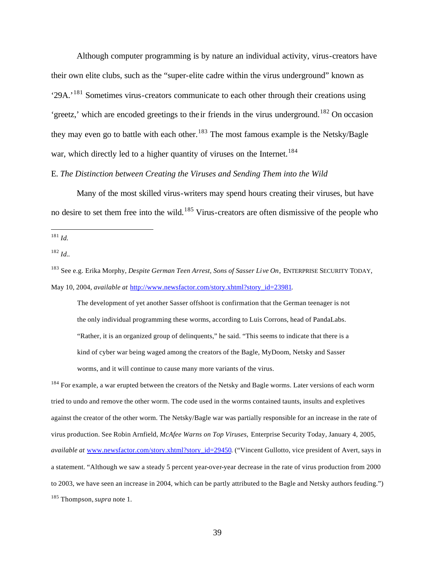Although computer programming is by nature an individual activity, virus-creators have their own elite clubs, such as the "super-elite cadre within the virus underground" known as '29A.'<sup>181</sup> Sometimes virus-creators communicate to each other through their creations using 'greetz,' which are encoded greetings to the ir friends in the virus underground.<sup>182</sup> On occasion they may even go to battle with each other.<sup>183</sup> The most famous example is the Netsky/Bagle war, which directly led to a higher quantity of viruses on the Internet.<sup>184</sup>

# E. *The Distinction between Creating the Viruses and Sending Them into the Wild*

Many of the most skilled virus-writers may spend hours creating their viruses, but have no desire to set them free into the wild.<sup>185</sup> Virus-creators are often dismissive of the people who

 $\overline{a}$ 

The development of yet another Sasser offshoot is confirmation that the German teenager is not the only individual programming these worms, according to Luis Corrons, head of PandaLabs. "Rather, it is an organized group of delinquents," he said. "This seems to indicate that there is a kind of cyber war being waged among the creators of the Bagle, MyDoom, Netsky and Sasser worms, and it will continue to cause many more variants of the virus.

<sup>184</sup> For example, a war erupted between the creators of the Netsky and Bagle worms. Later versions of each worm tried to undo and remove the other worm. The code used in the worms contained taunts, insults and expletives against the creator of the other worm. The Netsky/Bagle war was partially responsible for an increase in the rate of virus production. See Robin Arnfield, *McAfee Warns on Top Viruses*, Enterprise Security Today, January 4, 2005, *available at* www.newsfactor.com/story.xhtml?story\_id=29450. ("Vincent Gullotto, vice president of Avert, says in a statement. "Although we saw a steady 5 percent year-over-year decrease in the rate of virus production from 2000 to 2003, we have seen an increase in 2004, which can be partly attributed to the Bagle and Netsky authors feuding.") <sup>185</sup> Thompson,*supra* note 1.

<sup>181</sup> *Id.*

<sup>182</sup> *Id.*.

<sup>183</sup> See e.g. Erika Morphy, *Despite German Teen Arrest, Sons of Sasser Live On*, ENTERPRISE SECURITY TODAY, May 10, 2004, *available at* http://www.newsfactor.com/story.xhtml?story\_id=23981.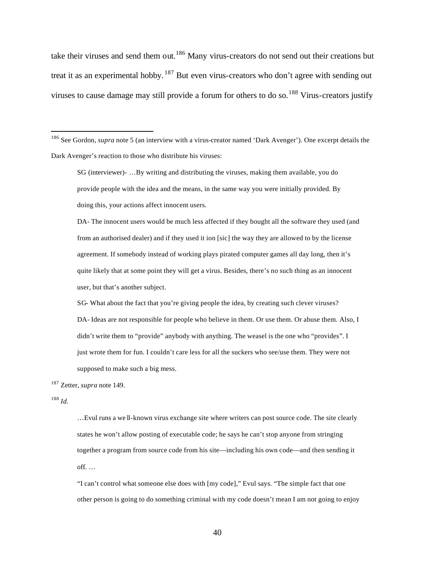take their viruses and send them out.<sup>186</sup> Many virus-creators do not send out their creations but treat it as an experimental hobby. <sup>187</sup> But even virus-creators who don't agree with sending out viruses to cause damage may still provide a forum for others to do so.<sup>188</sup> Virus-creators justify

DA- The innocent users would be much less affected if they bought all the software they used (and from an authorised dealer) and if they used it ion [sic] the way they are allowed to by the license agreement. If somebody instead of working plays pirated computer games all day long, then it's quite likely that at some point they will get a virus. Besides, there's no such thing as an innocent user, but that's another subject.

SG- What about the fact that you're giving people the idea, by creating such clever viruses? DA- Ideas are not responsible for people who believe in them. Or use them. Or abuse them. Also, I didn't write them to "provide" anybody with anything. The weasel is the one who "provides". I just wrote them for fun. I couldn't care less for all the suckers who see/use them. They were not supposed to make such a big mess.

<sup>187</sup> Zetter, *supra* note 149.

<sup>188</sup> *Id.*

 $\overline{a}$ 

…Evul runs a we ll-known virus exchange site where writers can post source code. The site clearly states he won't allow posting of executable code; he says he can't stop anyone from stringing together a program from source code from his site—including his own code—and then sending it off. …

"I can't control what someone else does with [my code]," Evul says. "The simple fact that one other person is going to do something criminal with my code doesn't mean I am not going to enjoy

40

<sup>186</sup> See Gordon, *supra* note 5 (an interview with a virus-creator named 'Dark Avenger'). One excerpt details the Dark Avenger's reaction to those who distribute his viruses:

SG (interviewer)- …By writing and distributing the viruses, making them available, you do provide people with the idea and the means, in the same way you were initially provided. By doing this, your actions affect innocent users.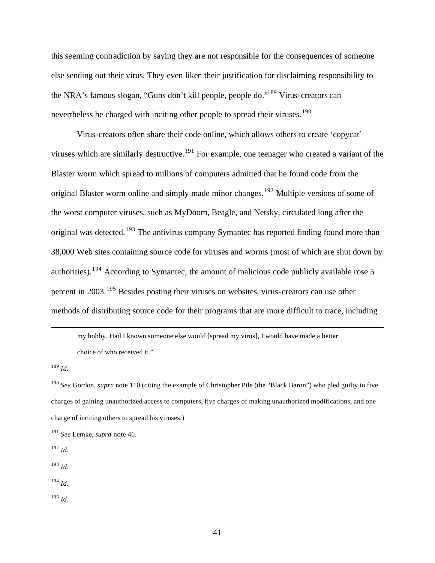this seeming contradiction by saying they are not responsible for the consequences of someone else sending out their virus. They even liken their justification for disclaiming responsibility to the NRA's famous slogan, "Guns don't kill people, people do."<sup>189</sup> Virus-creators can nevertheless be charged with inciting other people to spread their viruses.<sup>190</sup>

Virus-creators often share their code online, which allows others to create 'copycat' viruses which are similarly destructive.<sup>191</sup> For example, one teenager who created a variant of the Blaster worm which spread to millions of computers admitted that he found code from the original Blaster worm online and simply made minor changes.<sup>192</sup> Multiple versions of some of the worst computer viruses, such as MyDoom, Beagle, and Netsky, circulated long after the original was detected.<sup>193</sup> The antivirus company Symantec has reported finding found more than 38,000 Web sites containing source code for viruses and worms (most of which are shut down by authorities).<sup>194</sup> According to Symantec, the amount of malicious code publicly available rose 5 percent in 2003.<sup>195</sup> Besides posting their viruses on websites, virus-creators can use other methods of distributing source code for their programs that are more difficult to trace, including

my hobby. Had I known someone else would [spread my virus], I would have made a better choice of who received it."

<sup>189</sup> *Id.*

- <sup>192</sup> *Id.*
- <sup>193</sup> *Id.*
- <sup>194</sup> *Id.*
- <sup>195</sup> *Id.*

<sup>190</sup> *See* Gordon, *supra* note 110 (citing the example of Christopher Pile (the "Black Baron") who pled guilty to five charges of gaining unauthorized access to computers, five charges of making unauthorized modifications, and one charge of inciting others to spread his viruses.)

<sup>191</sup> *See* Lemke, *supra* note 46.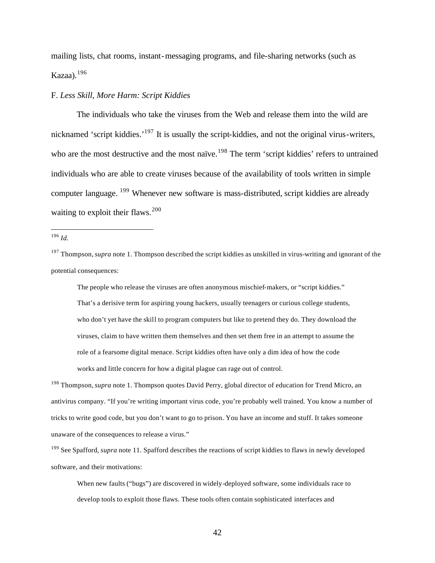mailing lists, chat rooms, instant-messaging programs, and file-sharing networks (such as Kazaa). $196$ 

### F. *Less Skill, More Harm: Script Kiddies*

The individuals who take the viruses from the Web and release them into the wild are nicknamed 'script kiddies.'<sup>197</sup> It is usually the script-kiddies, and not the original virus-writers, who are the most destructive and the most naïve.<sup>198</sup> The term 'script kiddies' refers to untrained individuals who are able to create viruses because of the availability of tools written in simple computer language. <sup>199</sup> Whenever new software is mass-distributed, script kiddies are already waiting to exploit their flaws.  $200$ 

 $\overline{a}$ 

The people who release the viruses are often anonymous mischief-makers, or "script kiddies." That's a derisive term for aspiring young hackers, usually teenagers or curious college students, who don't yet have the skill to program computers but like to pretend they do. They download the viruses, claim to have written them themselves and then set them free in an attempt to assume the role of a fearsome digital menace. Script kiddies often have only a dim idea of how the code works and little concern for how a digital plague can rage out of control.

<sup>198</sup> Thompson,*supra* note 1. Thompson quotes David Perry, global director of education for Trend Micro, an antivirus company. "If you're writing important virus code, you're probably well trained. You know a number of tricks to write good code, but you don't want to go to prison. You have an income and stuff. It takes someone unaware of the consequences to release a virus."

<sup>199</sup> See Spafford, *supra* note 11. Spafford describes the reactions of script kiddies to flaws in newly developed software, and their motivations:

When new faults ("bugs") are discovered in widely-deployed software, some individuals race to develop tools to exploit those flaws. These tools often contain sophisticated interfaces and

<sup>196</sup> *Id.*

<sup>197</sup> Thompson,*supra* note 1. Thompson described the script kiddies as unskilled in virus-writing and ignorant of the potential consequences: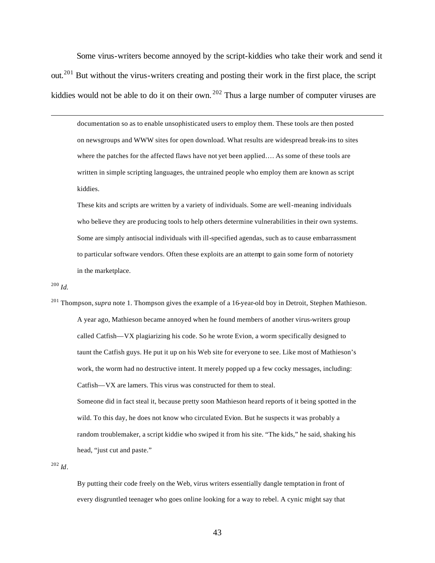Some virus-writers become annoyed by the script-kiddies who take their work and send it out.<sup>201</sup> But without the virus-writers creating and posting their work in the first place, the script kiddies would not be able to do it on their own.<sup>202</sup> Thus a large number of computer viruses are

documentation so as to enable unsophisticated users to employ them. These tools are then posted on newsgroups and WWW sites for open download. What results are widespread break-ins to sites where the patches for the affected flaws have not yet been applied…. As some of these tools are written in simple scripting languages, the untrained people who employ them are known as script kiddies.

These kits and scripts are written by a variety of individuals. Some are well-meaning individuals who believe they are producing tools to help others determine vulnerabilities in their own systems. Some are simply antisocial individuals with ill-specified agendas, such as to cause embarrassment to particular software vendors. Often these exploits are an attempt to gain some form of notoriety in the marketplace.

<sup>200</sup> *Id.*

 $\overline{a}$ 

<sup>201</sup> Thompson,*supra* note 1. Thompson gives the example of a 16-year-old boy in Detroit, Stephen Mathieson. A year ago, Mathieson became annoyed when he found members of another virus-writers group called Catfish—VX plagiarizing his code. So he wrote Evion, a worm specifically designed to taunt the Catfish guys. He put it up on his Web site for everyone to see. Like most of Mathieson's work, the worm had no destructive intent. It merely popped up a few cocky messages, including: Catfish—VX are lamers. This virus was constructed for them to steal. Someone did in fact steal it, because pretty soon Mathieson heard reports of it being spotted in the wild. To this day, he does not know who circulated Evion. But he suspects it was probably a random troublemaker, a script kiddie who swiped it from his site. "The kids," he said, shaking his head, "just cut and paste."

<sup>202</sup> *Id*.

By putting their code freely on the Web, virus writers essentially dangle temptation in front of every disgruntled teenager who goes online looking for a way to rebel. A cynic might say that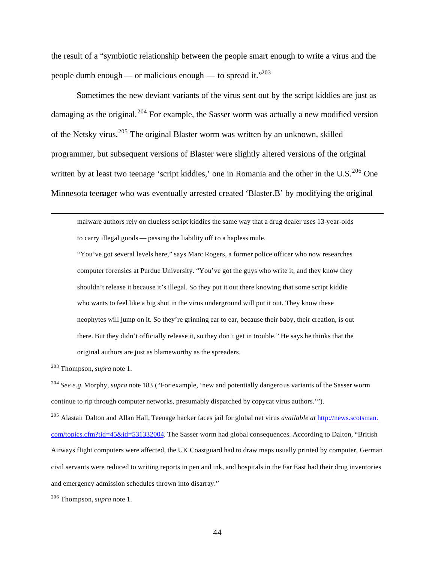the result of a "symbiotic relationship between the people smart enough to write a virus and the people dumb enough — or malicious enough — to spread it."<sup>203</sup>

Sometimes the new deviant variants of the virus sent out by the script kiddies are just as damaging as the original.<sup>204</sup> For example, the Sasser worm was actually a new modified version of the Netsky virus.<sup>205</sup> The original Blaster worm was written by an unknown, skilled programmer, but subsequent versions of Blaster were slightly altered versions of the original written by at least two teenage 'script kiddies,' one in Romania and the other in the U.S.<sup>206</sup> One Minnesota teenager who was eventually arrested created 'Blaster.B' by modifying the original

malware authors rely on clueless script kiddies the same way that a drug dealer uses 13-year-olds to carry illegal goods — passing the liability off to a hapless mule.

"You've got several levels here," says Marc Rogers, a former police officer who now researches computer forensics at Purdue University. "You've got the guys who write it, and they know they shouldn't release it because it's illegal. So they put it out there knowing that some script kiddie who wants to feel like a big shot in the virus underground will put it out. They know these neophytes will jump on it. So they're grinning ear to ear, because their baby, their creation, is out there. But they didn't officially release it, so they don't get in trouble." He says he thinks that the original authors are just as blameworthy as the spreaders.

<sup>203</sup> Thompson,*supra* note 1.

 $\overline{a}$ 

<sup>204</sup> *See e.g.* Morphy, *supra* note 183 ("For example, 'new and potentially dangerous variants of the Sasser worm continue to rip through computer networks, presumably dispatched by copycat virus authors.'").

<sup>205</sup> Alastair Dalton and Allan Hall, Teenage hacker faces jail for global net virus *available at* http://news.scotsman. com/topics.cfm?tid=45&id=531332004. The Sasser worm had global consequences. According to Dalton, "British Airways flight computers were affected, the UK Coastguard had to draw maps usually printed by computer, German civil servants were reduced to writing reports in pen and ink, and hospitals in the Far East had their drug inventories and emergency admission schedules thrown into disarray."

<sup>206</sup> Thompson,*supra* note 1.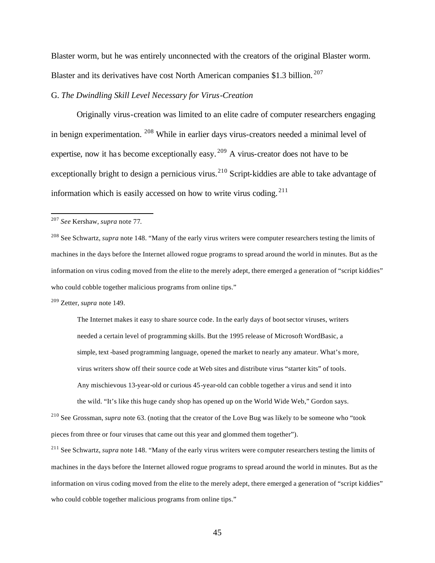Blaster worm, but he was entirely unconnected with the creators of the original Blaster worm. Blaster and its derivatives have cost North American companies \$1.3 billion. <sup>207</sup>

# G. *The Dwindling Skill Level Necessary for Virus-Creation*

Originally virus-creation was limited to an elite cadre of computer researchers engaging in benign experimentation. <sup>208</sup> While in earlier days virus-creators needed a minimal level of expertise, now it has become exceptionally easy. <sup>209</sup> A virus-creator does not have to be exceptionally bright to design a pernicious virus.<sup>210</sup> Script-kiddies are able to take advantage of information which is easily accessed on how to write virus coding. <sup>211</sup>

 $\overline{a}$ 

<sup>208</sup> See Schwartz, *supra* note 148. "Many of the early virus writers were computer researchers testing the limits of machines in the days before the Internet allowed rogue programs to spread around the world in minutes. But as the information on virus coding moved from the elite to the merely adept, there emerged a generation of "script kiddies" who could cobble together malicious programs from online tips."

<sup>209</sup> Zetter, *supra* note 149.

The Internet makes it easy to share source code. In the early days of boot sector viruses, writers needed a certain level of programming skills. But the 1995 release of Microsoft WordBasic, a simple, text -based programming language, opened the market to nearly any amateur. What's more, virus writers show off their source code at Web sites and distribute virus "starter kits" of tools. Any mischievous 13-year-old or curious 45-year-old can cobble together a virus and send it into the wild. "It's like this huge candy shop has opened up on the World Wide Web," Gordon says.

<sup>210</sup> See Grossman, *supra* note 63. (noting that the creator of the Love Bug was likely to be someone who "took pieces from three or four viruses that came out this year and glommed them together").

<sup>211</sup> See Schwartz, *supra* note 148. "Many of the early virus writers were computer researchers testing the limits of machines in the days before the Internet allowed rogue programs to spread around the world in minutes. But as the information on virus coding moved from the elite to the merely adept, there emerged a generation of "script kiddies" who could cobble together malicious programs from online tips."

<sup>207</sup> *See* Kershaw, *supra* note 77.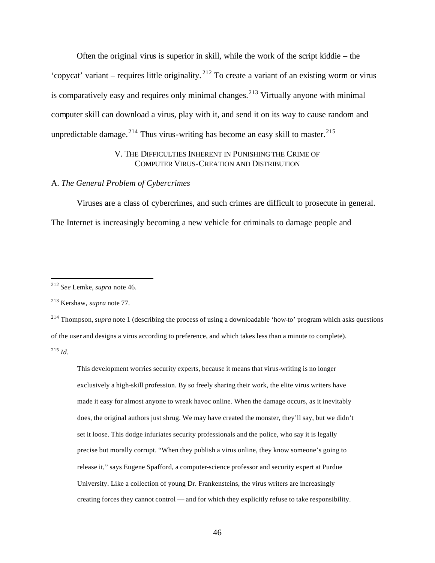Often the original virus is superior in skill, while the work of the script kiddie – the 'copycat' variant – requires little originality.<sup>212</sup> To create a variant of an existing worm or virus is comparatively easy and requires only minimal changes.<sup>213</sup> Virtually anyone with minimal computer skill can download a virus, play with it, and send it on its way to cause random and unpredictable damage.<sup>214</sup> Thus virus-writing has become an easy skill to master.<sup>215</sup>

# V. THE DIFFICULTIES INHERENT IN PUNISHING THE CRIME OF COMPUTER VIRUS-CREATION AND DISTRIBUTION

### A. *The General Problem of Cybercrimes*

Viruses are a class of cybercrimes, and such crimes are difficult to prosecute in general. The Internet is increasingly becoming a new vehicle for criminals to damage people and

 $\overline{a}$ 

<sup>214</sup> Thompson,*supra* note 1 (describing the process of using a downloadable 'how-to' program which asks questions of the user and designs a virus according to preference, and which takes less than a minute to complete). <sup>215</sup> *Id.*

This development worries security experts, because it means that virus-writing is no longer exclusively a high-skill profession. By so freely sharing their work, the elite virus writers have made it easy for almost anyone to wreak havoc online. When the damage occurs, as it inevitably does, the original authors just shrug. We may have created the monster, they'll say, but we didn't set it loose. This dodge infuriates security professionals and the police, who say it is legally precise but morally corrupt. "When they publish a virus online, they know someone's going to release it," says Eugene Spafford, a computer-science professor and security expert at Purdue University. Like a collection of young Dr. Frankensteins, the virus writers are increasingly creating forces they cannot control — and for which they explicitly refuse to take responsibility.

<sup>212</sup> *See* Lemke, *supra* note 46.

<sup>213</sup> Kershaw, *supra* note 77.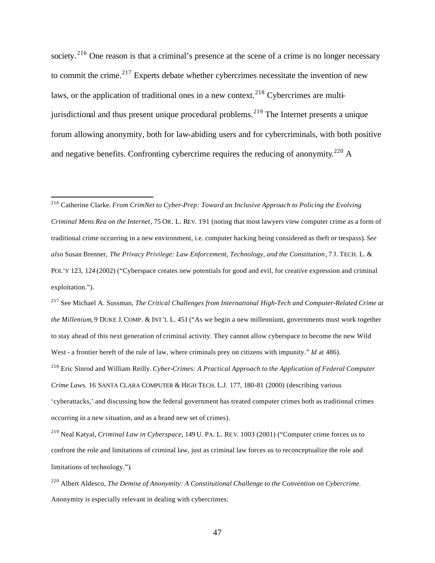society.<sup>216</sup> One reason is that a criminal's presence at the scene of a crime is no longer necessary to commit the crime.<sup>217</sup> Experts debate whether cybercrimes necessitate the invention of new laws, or the application of traditional ones in a new context.<sup>218</sup> Cybercrimes are multijurisdictional and thus present unique procedural problems.<sup>219</sup> The Internet presents a unique forum allowing anonymity, both for law-abiding users and for cybercriminals, with both positive and negative benefits. Confronting cybercrime requires the reducing of anonymity.<sup>220</sup> A

<sup>216</sup> Catherine Clarke. *From CrimNet to Cyber-Prep: Toward an Inclusive Approach to Policing the Evolving Criminal Mens Rea on the Internet*, 75 OR. L. REV. 191 (noting that most lawyers view computer crime as a form of traditional crime occurring in a new environment, i.e. computer hacking being considered as theft or trespass)*. See also* Susan Brenner, *The Privacy Privilege: Law Enforcement, Technology, and the Constitution*, 7 J. TECH. L. & POL'Y 123, 124 (2002) ("Cyberspace creates new potentials for good and evil, for creative expression and criminal exploitation.").

 $\overline{a}$ 

<sup>217</sup> See Michael A. Sussman, *The Critical Challenges from International High-Tech and Computer-Related Crime at the Millenium*, 9 DUKE J. COMP. & INT'L L. 451 ("As we begin a new millennium, governments must work together to stay ahead of this next generation of criminal activity. They cannot allow cyberspace to become the new Wild West - a frontier bereft of the rule of law, where criminals prey on citizens with impunity." *Id* at 486). <sup>218</sup> Eric Sinrod and William Reilly. *Cyber-Crimes: A Practical Approach to the Application of Federal Computer Crime Laws.* 16 SANTA CLARA COMPUTER & HIGH TECH. L.J. 177, 180-81 (2000) (describing various 'cyberattacks,' and discussing how the federal government has treated computer crimes both as traditional crimes occurring in a new situation, and as a brand new set of crimes).

<sup>219</sup> Neal Katyal, *Criminal Law in Cyberspace*, 149 U. PA. L. REV. 1003 (2001) ("Computer crime forces us to confront the role and limitations of criminal law, just as criminal law forces us to reconceptualize the role and limitations of technology.")*.*

<sup>220</sup> Albert Aldesco, *The Demise of Anonymity: A Constitutional Challenge to the Convention on Cybercrime.*  Anonymity is especially relevant in dealing with cybercrimes: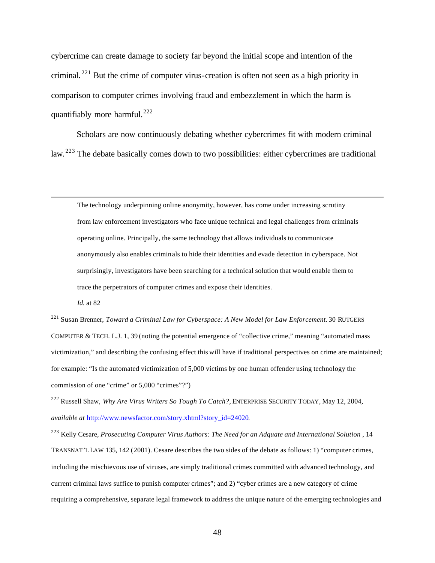cybercrime can create damage to society far beyond the initial scope and intention of the criminal. <sup>221</sup> But the crime of computer virus-creation is often not seen as a high priority in comparison to computer crimes involving fraud and embezzlement in which the harm is quantifiably more harmful.<sup>222</sup>

Scholars are now continuously debating whether cybercrimes fit with modern criminal law. <sup>223</sup> The debate basically comes down to two possibilities: either cybercrimes are traditional

The technology underpinning online anonymity, however, has come under increasing scrutiny from law enforcement investigators who face unique technical and legal challenges from criminals operating online. Principally, the same technology that allows individuals to communicate anonymously also enables criminals to hide their identities and evade detection in cyberspace. Not surprisingly, investigators have been searching for a technical solution that would enable them to trace the perpetrators of computer crimes and expose their identities.

*Id.* at 82

 $\overline{a}$ 

<sup>221</sup> Susan Brenner, *Toward a Criminal Law for Cyberspace: A New Model for Law Enforcement.* 30 RUTGERS COMPUTER & TECH. L.J. 1, 39 (noting the potential emergence of "collective crime," meaning "automated mass victimization," and describing the confusing effect this will have if traditional perspectives on crime are maintained; for example: "Is the automated victimization of 5,000 victims by one human offender using technology the commission of one "crime" or 5,000 "crimes"?")

<sup>222</sup> Russell Shaw, *Why Are Virus Writers So Tough To Catch?,* ENTERPRISE SECURITY TODAY, May 12, 2004, *available at* http://www.newsfactor.com/story.xhtml?story\_id=24020.

<sup>223</sup> Kelly Cesare, *Prosecuting Computer Virus Authors: The Need for an Adquate and International Solution* , 14 TRANSNAT'L LAW 135, 142 (2001). Cesare describes the two sides of the debate as follows: 1) "computer crimes, including the mischievous use of viruses, are simply traditional crimes committed with advanced technology, and current criminal laws suffice to punish computer crimes"; and 2) "cyber crimes are a new category of crime requiring a comprehensive, separate legal framework to address the unique nature of the emerging technologies and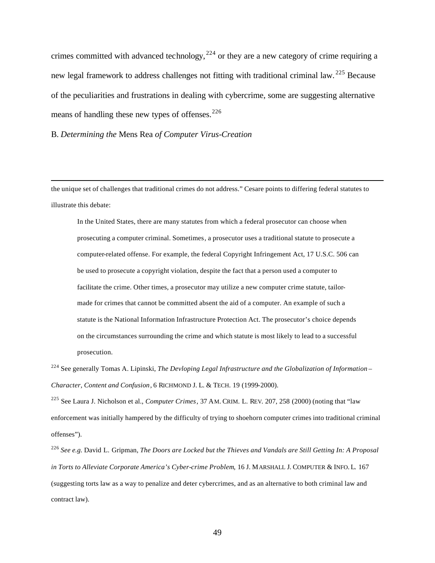crimes committed with advanced technology,  $224$  or they are a new category of crime requiring a new legal framework to address challenges not fitting with traditional criminal law. <sup>225</sup> Because of the peculiarities and frustrations in dealing with cybercrime, some are suggesting alternative means of handling these new types of offenses.  $226$ 

B. *Determining the* Mens Rea *of Computer Virus-Creation* 

 $\overline{a}$ 

the unique set of challenges that traditional crimes do not address." Cesare points to differing federal statutes to illustrate this debate:

In the United States, there are many statutes from which a federal prosecutor can choose when prosecuting a computer criminal. Sometimes, a prosecutor uses a traditional statute to prosecute a computer-related offense. For example, the federal Copyright Infringement Act, 17 U.S.C. 506 can be used to prosecute a copyright violation, despite the fact that a person used a computer to facilitate the crime. Other times, a prosecutor may utilize a new computer crime statute, tailormade for crimes that cannot be committed absent the aid of a computer. An example of such a statute is the National Information Infrastructure Protection Act. The prosecutor's choice depends on the circumstances surrounding the crime and which statute is most likely to lead to a successful prosecution.

<sup>224</sup> See generally Tomas A. Lipinski, *The Devloping Legal Infrastructure and the Globalization of Information – Character, Content and Confusion*, 6 RICHMOND J. L. & TECH. 19 (1999-2000).

<sup>225</sup> See Laura J. Nicholson et al., *Computer Crimes*, 37 AM. CRIM. L. REV. 207, 258 (2000) (noting that "law enforcement was initially hampered by the difficulty of trying to shoehorn computer crimes into traditional criminal offenses").

<sup>226</sup> *See e.g.* David L. Gripman, *The Doors are Locked but the Thieves and Vandals are Still Getting In: A Proposal in Torts to Alleviate Corporate America's Cyber-crime Problem*, 16 J. MARSHALL J. COMPUTER & INFO. L. 167 (suggesting torts law as a way to penalize and deter cybercrimes, and as an alternative to both criminal law and contract law).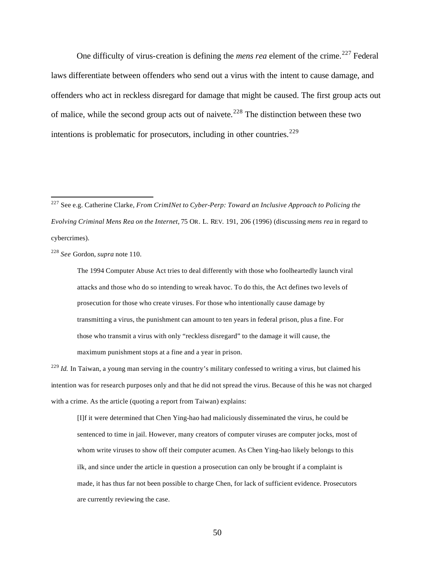One difficulty of virus-creation is defining the *mens rea* element of the crime.<sup>227</sup> Federal laws differentiate between offenders who send out a virus with the intent to cause damage, and offenders who act in reckless disregard for damage that might be caused. The first group acts out of malice, while the second group acts out of naivete.<sup>228</sup> The distinction between these two intentions is problematic for prosecutors, including in other countries.<sup>229</sup>

<sup>228</sup> *See* Gordon, *supra* note 110.

 $\overline{a}$ 

The 1994 Computer Abuse Act tries to deal differently with those who foolheartedly launch viral attacks and those who do so intending to wreak havoc. To do this, the Act defines two levels of prosecution for those who create viruses. For those who intentionally cause damage by transmitting a virus, the punishment can amount to ten years in federal prison, plus a fine. For those who transmit a virus with only "reckless disregard" to the damage it will cause, the maximum punishment stops at a fine and a year in prison.

<sup>229</sup> *Id.* In Taiwan, a young man serving in the country's military confessed to writing a virus, but claimed his intention was for research purposes only and that he did not spread the virus. Because of this he was not charged with a crime. As the article (quoting a report from Taiwan) explains:

[I]f it were determined that Chen Ying-hao had maliciously disseminated the virus, he could be sentenced to time in jail. However, many creators of computer viruses are computer jocks, most of whom write viruses to show off their computer acumen. As Chen Ying-hao likely belongs to this ilk, and since under the article in question a prosecution can only be brought if a complaint is made, it has thus far not been possible to charge Chen, for lack of sufficient evidence. Prosecutors are currently reviewing the case.

<sup>227</sup> See e.g. Catherine Clarke, *From CrimINet to Cyber-Perp: Toward an Inclusive Approach to Policing the Evolving Criminal Mens Rea on the Internet*, 75 OR. L. REV. 191, 206 (1996) (discussing *mens rea* in regard to cybercrimes).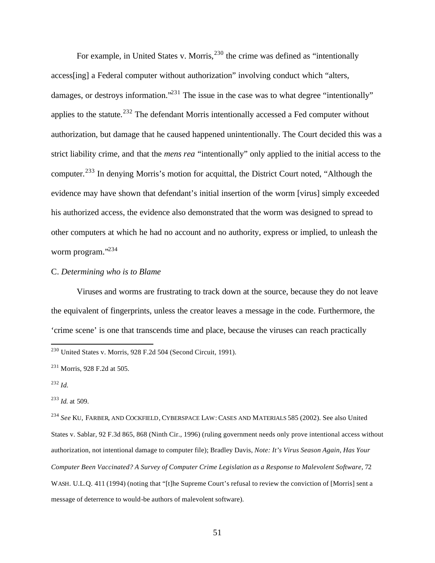For example, in United States v. Morris,<sup>230</sup> the crime was defined as "intentionally access[ing] a Federal computer without authorization" involving conduct which "alters, damages, or destroys information."<sup>231</sup> The issue in the case was to what degree "intentionally" applies to the statute.<sup>232</sup> The defendant Morris intentionally accessed a Fed computer without authorization, but damage that he caused happened unintentionally. The Court decided this was a strict liability crime, and that the *mens rea* "intentionally" only applied to the initial access to the computer.<sup>233</sup> In denying Morris's motion for acquittal, the District Court noted, "Although the evidence may have shown that defendant's initial insertion of the worm [virus] simply exceeded his authorized access, the evidence also demonstrated that the worm was designed to spread to other computers at which he had no account and no authority, express or implied, to unleash the worm program."<sup>234</sup>

### C. *Determining who is to Blame*

Viruses and worms are frustrating to track down at the source, because they do not leave the equivalent of fingerprints, unless the creator leaves a message in the code. Furthermore, the 'crime scene' is one that transcends time and place, because the viruses can reach practically

 $\overline{a}$ 

<sup>234</sup> *See* KU, FARBER, AND COCKFIELD, CYBERSPACE LAW: CASES AND MATERIALS 585 (2002). See also United States v. Sablar, 92 F.3d 865, 868 (Ninth Cir., 1996) (ruling government needs only prove intentional access without authorization, not intentional damage to computer file); Bradley Davis, *Note: It's Virus Season Again, Has Your Computer Been Vaccinated? A Survey of Computer Crime Legislation as a Response to Malevolent Software,* 72 WASH. U.L.Q. 411 (1994) (noting that "[t]he Supreme Court's refusal to review the conviction of [Morris] sent a message of deterrence to would-be authors of malevolent software)*.*

 $^{230}$  United States v. Morris, 928 F.2d 504 (Second Circuit, 1991).

<sup>231</sup> Morris, 928 F.2d at 505.

<sup>232</sup> *Id.*

<sup>233</sup> *Id.* at 509.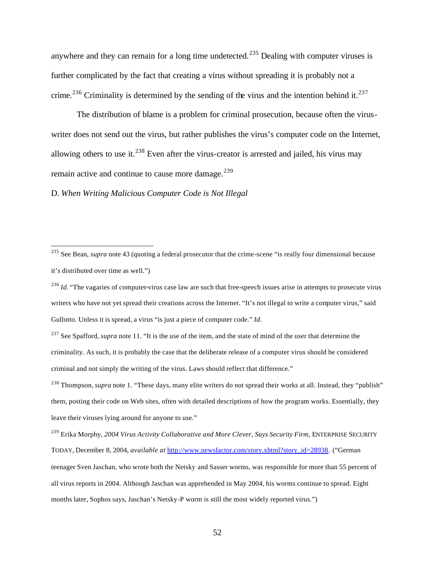anywhere and they can remain for a long time undetected.<sup>235</sup> Dealing with computer viruses is further complicated by the fact that creating a virus without spreading it is probably not a crime.<sup>236</sup> Criminality is determined by the sending of the virus and the intention behind it.<sup>237</sup>

The distribution of blame is a problem for criminal prosecution, because often the viruswriter does not send out the virus, but rather publishes the virus's computer code on the Internet, allowing others to use it.<sup>238</sup> Even after the virus-creator is arrested and jailed, his virus may remain active and continue to cause more damage.<sup>239</sup>

D. *When Writing Malicious Computer Code is Not Illegal*

<sup>235</sup> See Bean, *supra* note 43 (quoting a federal prosecutor that the crime-scene "is really four dimensional because it's distributed over time as well.")

<sup>&</sup>lt;sup>236</sup> *Id.* "The vagaries of computer-virus case law are such that free-speech issues arise in attempts to prosecute virus writers who have not yet spread their creations across the Internet. "It's not illegal to write a computer virus," said Gullotto. Unless it is spread, a virus "is just a piece of computer code." *Id.*

<sup>&</sup>lt;sup>237</sup> See Spafford, *supra* note 11. "It is the use of the item, and the state of mind of the user that determine the criminality. As such, it is probably the case that the deliberate release of a computer virus should be considered criminal and not simply the writing of the virus. Laws should reflect that difference."

<sup>238</sup> Thompson,*supra* note 1. "These days, many elite writers do not spread their works at all. Instead, they "publish" them, posting their code on Web sites, often with detailed descriptions of how the program works. Essentially, they leave their viruses lying around for anyone to use."

<sup>239</sup> Erika Morphy, *2004 Virus Activity Collaborative and More Clever, Says Security Firm*, ENTERPRISE SECURITY TODAY, December 8, 2004, *available at* http://www.newsfactor.com/story.xhtml?story\_id=28938. ("German teenager Sven Jaschan, who wrote both the Netsky and Sasser worms, was responsible for more than 55 percent of all virus reports in 2004. Although Jaschan was apprehended in May 2004, his worms continue to spread. Eight months later, Sophos says, Jaschan's Netsky-P worm is still the most widely reported virus.")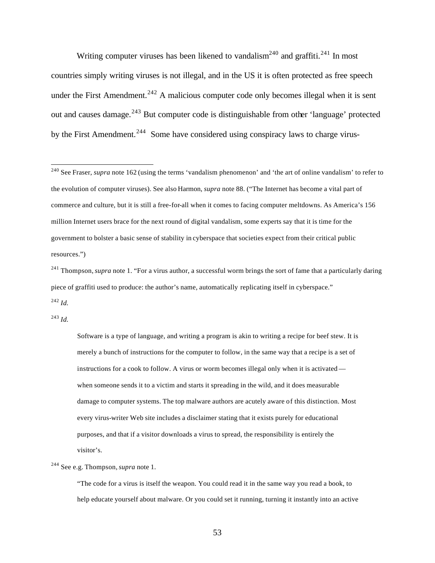Writing computer viruses has been likened to vandalism<sup>240</sup> and graffiti.<sup>241</sup> In most countries simply writing viruses is not illegal, and in the US it is often protected as free speech under the First Amendment.<sup>242</sup> A malicious computer code only becomes illegal when it is sent out and causes damage.<sup>243</sup> But computer code is distinguishable from other 'language' protected by the First Amendment.<sup>244</sup> Some have considered using conspiracy laws to charge virus-

<sup>243</sup> *Id.*

 $\overline{a}$ 

Software is a type of language, and writing a program is akin to writing a recipe for beef stew. It is merely a bunch of instructions for the computer to follow, in the same way that a recipe is a set of instructions for a cook to follow. A virus or worm becomes illegal only when it is activated when someone sends it to a victim and starts it spreading in the wild, and it does measurable damage to computer systems. The top malware authors are acutely aware of this distinction. Most every virus-writer Web site includes a disclaimer stating that it exists purely for educational purposes, and that if a visitor downloads a virus to spread, the responsibility is entirely the visitor's.

<sup>244</sup> See e.g. Thompson,*supra* note 1.

"The code for a virus is itself the weapon. You could read it in the same way you read a book, to help educate yourself about malware. Or you could set it running, turning it instantly into an active

<sup>&</sup>lt;sup>240</sup> See Fraser, *supra* note 162 (using the terms 'vandalism phenomenon' and 'the art of online vandalism' to refer to the evolution of computer viruses). See also Harmon, *supra* note 88. ("The Internet has become a vital part of commerce and culture, but it is still a free-for-all when it comes to facing computer meltdowns. As America's 156 million Internet users brace for the next round of digital vandalism, some experts say that it is time for the government to bolster a basic sense of stability in cyberspace that societies expect from their critical public resources.")

<sup>&</sup>lt;sup>241</sup> Thompson, *supra* note 1. "For a virus author, a successful worm brings the sort of fame that a particularly daring piece of graffiti used to produce: the author's name, automatically replicating itself in cyberspace." <sup>242</sup> *Id.*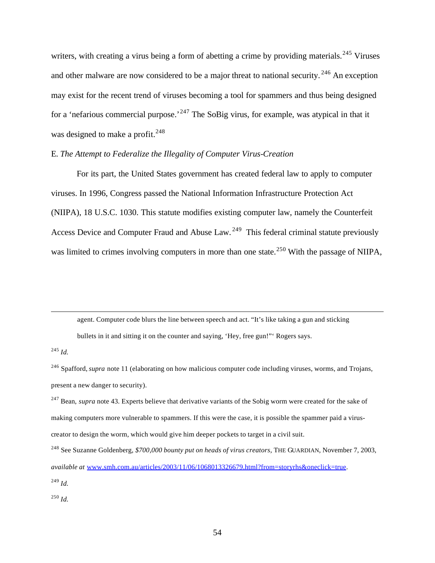writers, with creating a virus being a form of abetting a crime by providing materials.<sup>245</sup> Viruses and other malware are now considered to be a major threat to national security.<sup>246</sup> An exception may exist for the recent trend of viruses becoming a tool for spammers and thus being designed for a 'nefarious commercial purpose.'<sup>247</sup> The SoBig virus, for example, was atypical in that it was designed to make a profit.<sup>248</sup>

# E. *The Attempt to Federalize the Illegality of Computer Virus-Creation*

For its part, the United States government has created federal law to apply to computer viruses. In 1996, Congress passed the National Information Infrastructure Protection Act (NIIPA), 18 U.S.C. 1030. This statute modifies existing computer law, namely the Counterfeit Access Device and Computer Fraud and Abuse Law.<sup>249</sup> This federal criminal statute previously was limited to crimes involving computers in more than one state.<sup>250</sup> With the passage of NIIPA,

agent. Computer code blurs the line between speech and act. "It's like taking a gun and sticking

bullets in it and sitting it on the counter and saying, 'Hey, free gun!"' Rogers says.

<sup>245</sup> *Id.*

 $\overline{a}$ 

<sup>246</sup> Spafford, *supra* note 11 (elaborating on how malicious computer code including viruses, worms, and Trojans, present a new danger to security).

<sup>247</sup> Bean, *supra* note 43. Experts believe that derivative variants of the Sobig worm were created for the sake of making computers more vulnerable to spammers. If this were the case, it is possible the spammer paid a viruscreator to design the worm, which would give him deeper pockets to target in a civil suit.

<sup>250</sup> *Id.*

<sup>248</sup> See Suzanne Goldenberg, *\$700,000 bounty put on heads of virus creators,* THE GUARDIAN, November 7, 2003, *available at* www.smh.com.au/articles/2003/11/06/1068013326679.html?from=storyrhs&oneclick=true. <sup>249</sup> *Id.*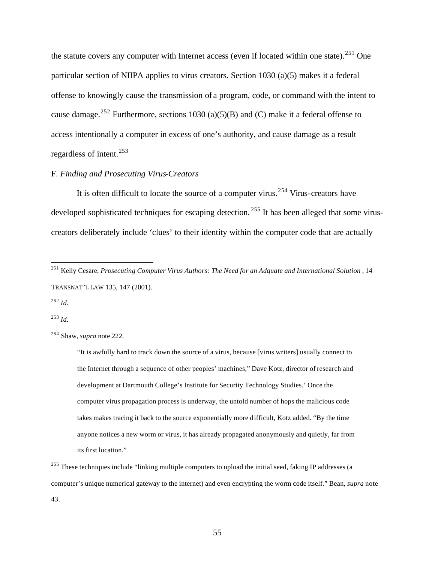the statute covers any computer with Internet access (even if located within one state).<sup>251</sup> One particular section of NIIPA applies to virus creators. Section 1030 (a)(5) makes it a federal offense to knowingly cause the transmission of a program, code, or command with the intent to cause damage.<sup>252</sup> Furthermore, sections 1030 (a)(5)(B) and (C) make it a federal offense to access intentionally a computer in excess of one's authority, and cause damage as a result regardless of intent.<sup>253</sup>

### F. *Finding and Prosecuting Virus-Creators*

It is often difficult to locate the source of a computer virus.<sup>254</sup> Virus-creators have developed sophisticated techniques for escaping detection.<sup>255</sup> It has been alleged that some viruscreators deliberately include 'clues' to their identity within the computer code that are actually

<sup>252</sup> *Id.*

 $\overline{a}$ 

<sup>253</sup> *Id.*

"It is awfully hard to track down the source of a virus, because [virus writers] usually connect to the Internet through a sequence of other peoples' machines," Dave Kotz, director of research and development at Dartmouth College's Institute for Security Technology Studies.' Once the computer virus propagation process is underway, the untold number of hops the malicious code takes makes tracing it back to the source exponentially more difficult, Kotz added. "By the time anyone notices a new worm or virus, it has already propagated anonymously and quietly, far from its first location."

<sup>251</sup> Kelly Cesare, *Prosecuting Computer Virus Authors: The Need for an Adquate and International Solution* , 14 TRANSNAT'L LAW 135, 147 (2001).

<sup>254</sup> Shaw, *supra* note 222.

<sup>&</sup>lt;sup>255</sup> These techniques include "linking multiple computers to upload the initial seed, faking IP addresses (a computer's unique numerical gateway to the internet) and even encrypting the worm code itself." Bean, *supra* note 43.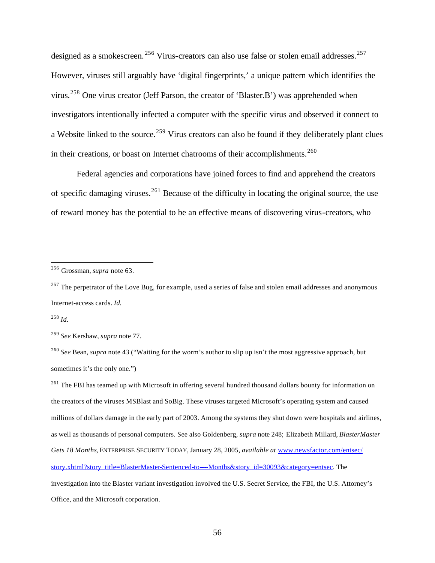designed as a smokescreen. <sup>256</sup> Virus-creators can also use false or stolen email addresses. <sup>257</sup> However, viruses still arguably have 'digital fingerprints,' a unique pattern which identifies the virus.<sup>258</sup> One virus creator (Jeff Parson, the creator of 'Blaster.B') was apprehended when investigators intentionally infected a computer with the specific virus and observed it connect to a Website linked to the source.<sup>259</sup> Virus creators can also be found if they deliberately plant clues in their creations, or boast on Internet chatrooms of their accomplishments.<sup>260</sup>

Federal agencies and corporations have joined forces to find and apprehend the creators of specific damaging viruses.<sup>261</sup> Because of the difficulty in locating the original source, the use of reward money has the potential to be an effective means of discovering virus-creators, who

<sup>258</sup> *Id.*

<sup>256</sup> Grossman, *supra* note 63.

 $^{257}$  The perpetrator of the Love Bug, for example, used a series of false and stolen email addresses and anonymous Internet-access cards. *Id.*

<sup>259</sup> *See* Kershaw, *supra* note 77.

<sup>260</sup> *See* Bean, *supra* note 43 ("Waiting for the worm's author to slip up isn't the most aggressive approach, but sometimes it's the only one.")

<sup>&</sup>lt;sup>261</sup> The FBI has teamed up with Microsoft in offering several hundred thousand dollars bounty for information on the creators of the viruses MSBlast and SoBig. These viruses targeted Microsoft's operating system and caused millions of dollars damage in the early part of 2003. Among the systems they shut down were hospitals and airlines, as well as thousands of personal computers. See also Goldenberg, *supra* note 248; Elizabeth Millard, *BlasterMaster Gets 18 Months*, ENTERPRISE SECURITY TODAY, January 28, 2005, *available at* www.newsfactor.com/entsec/ story.xhtml?story\_title=BlasterMaster-Sentenced-to----Months&story\_id=30093&category=entsec. The investigation into the Blaster variant investigation involved the U.S. Secret Service, the FBI, the U.S. Attorney's Office, and the Microsoft corporation.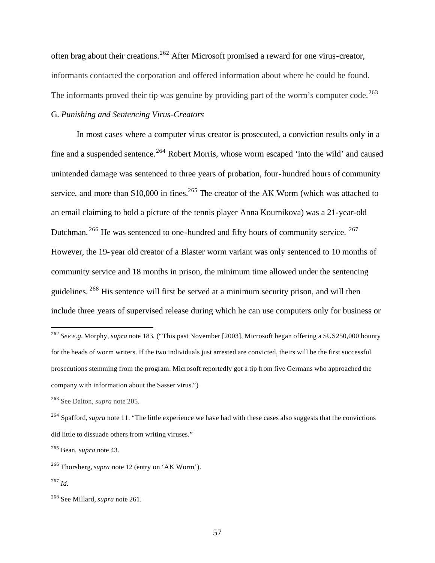often brag about their creations.<sup>262</sup> After Microsoft promised a reward for one virus-creator, informants contacted the corporation and offered information about where he could be found. The informants proved their tip was genuine by providing part of the worm's computer code.<sup>263</sup>

# G. *Punishing and Sentencing Virus-Creators*

In most cases where a computer virus creator is prosecuted, a conviction results only in a fine and a suspended sentence.<sup>264</sup> Robert Morris, whose worm escaped 'into the wild' and caused unintended damage was sentenced to three years of probation, four-hundred hours of community service, and more than \$10,000 in fines.<sup>265</sup> The creator of the AK Worm (which was attached to an email claiming to hold a picture of the tennis player Anna Kournikova) was a 21-year-old Dutchman.<sup>266</sup> He was sentenced to one-hundred and fifty hours of community service.<sup>267</sup> However, the 19-year old creator of a Blaster worm variant was only sentenced to 10 months of community service and 18 months in prison, the minimum time allowed under the sentencing guidelines. <sup>268</sup> His sentence will first be served at a minimum security prison, and will then include three years of supervised release during which he can use computers only for business or

<sup>262</sup> *See e.g.* Morphy, *supra* note 183. ("This past November [2003], Microsoft began offering a \$US250,000 bounty for the heads of worm writers. If the two individuals just arrested are convicted, theirs will be the first successful prosecutions stemming from the program. Microsoft reportedly got a tip from five Germans who approached the company with information about the Sasser virus.")

<sup>263</sup> See Dalton, *supra* note 205.

<sup>264</sup> Spafford, *supra* note 11. "The little experience we have had with these cases also suggests that the convictions did little to dissuade others from writing viruses."

<sup>265</sup> Bean, *supra* note 43.

<sup>266</sup> Thorsberg,*supra* note 12 (entry on 'AK Worm').

<sup>267</sup> *Id.*

<sup>268</sup> See Millard, *supra* note 261.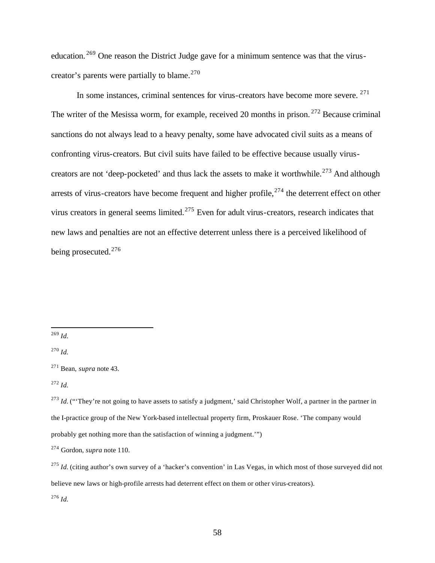education. <sup>269</sup> One reason the District Judge gave for a minimum sentence was that the viruscreator's parents were partially to blame.<sup>270</sup>

In some instances, criminal sentences for virus-creators have become more severe. <sup>271</sup> The writer of the Mesissa worm, for example, received 20 months in prison.<sup>272</sup> Because criminal sanctions do not always lead to a heavy penalty, some have advocated civil suits as a means of confronting virus-creators. But civil suits have failed to be effective because usually viruscreators are not 'deep-pocketed' and thus lack the assets to make it worthwhile.<sup>273</sup> And although arrests of virus-creators have become frequent and higher profile,  $274$  the deterrent effect on other virus creators in general seems limited.<sup>275</sup> Even for adult virus-creators, research indicates that new laws and penalties are not an effective deterrent unless there is a perceived likelihood of being prosecuted.<sup>276</sup>

 $\overline{a}$ 

<sup>276</sup> *Id.*

<sup>269</sup> *Id.*

<sup>270</sup> *Id.*

<sup>271</sup> Bean, *supra* note 43.

<sup>272</sup> *Id.*

<sup>&</sup>lt;sup>273</sup> *Id.* ("They're not going to have assets to satisfy a judgment,' said Christopher Wolf, a partner in the partner in the I-practice group of the New York-based intellectual property firm, Proskauer Rose. 'The company would probably get nothing more than the satisfaction of winning a judgment.'")

<sup>274</sup> Gordon, *supra* note 110.

<sup>&</sup>lt;sup>275</sup> *Id.* (citing author's own survey of a 'hacker's convention' in Las Vegas, in which most of those surveyed did not believe new laws or high-profile arrests had deterrent effect on them or other virus-creators).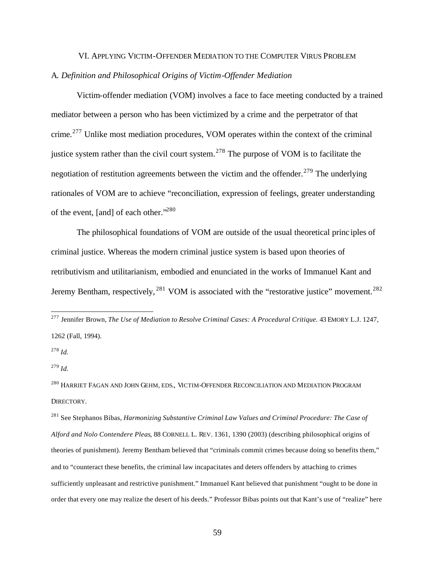# VI. APPLYING VICTIM-OFFENDER MEDIATION TO THE COMPUTER VIRUS PROBLEM A*. Definition and Philosophical Origins of Victim-Offender Mediation*

Victim-offender mediation (VOM) involves a face to face meeting conducted by a trained mediator between a person who has been victimized by a crime and the perpetrator of that crime.<sup>277</sup> Unlike most mediation procedures, VOM operates within the context of the criminal justice system rather than the civil court system.<sup>278</sup> The purpose of VOM is to facilitate the negotiation of restitution agreements between the victim and the offender.<sup>279</sup> The underlying rationales of VOM are to achieve "reconciliation, expression of feelings, greater understanding of the event, [and] of each other."<sup>280</sup>

The philosophical foundations of VOM are outside of the usual theoretical princ iples of criminal justice. Whereas the modern criminal justice system is based upon theories of retributivism and utilitarianism, embodied and enunciated in the works of Immanuel Kant and Jeremy Bentham, respectively,  $^{281}$  VOM is associated with the "restorative justice" movement.  $^{282}$ 

<sup>278</sup> *Id.*

 $\overline{a}$ 

<sup>279</sup> *Id.*

<sup>280</sup> HARRIET FAGAN AND JOHN GEHM, EDS., VICTIM-OFFENDER RECONCILIATION AND MEDIATION PROGRAM DIRECTORY*.*

<sup>277</sup> Jennifer Brown, *The Use of Mediation to Resolve Criminal Cases: A Procedural Critique.* 43 EMORY L.J. 1247, 1262 (Fall, 1994).

<sup>281</sup> See Stephanos Bibas, *Harmonizing Substantive Criminal Law Values and Criminal Procedure: The Case of Alford and Nolo Contendere Pleas*, 88 CORNELL L. REV. 1361, 1390 (2003) (describing philosophical origins of theories of punishment). Jeremy Bentham believed that "criminals commit crimes because doing so benefits them," and to "counteract these benefits, the criminal law incapacitates and deters offenders by attaching to crimes sufficiently unpleasant and restrictive punishment." Immanuel Kant believed that punishment "ought to be done in order that every one may realize the desert of his deeds." Professor Bibas points out that Kant's use of "realize" here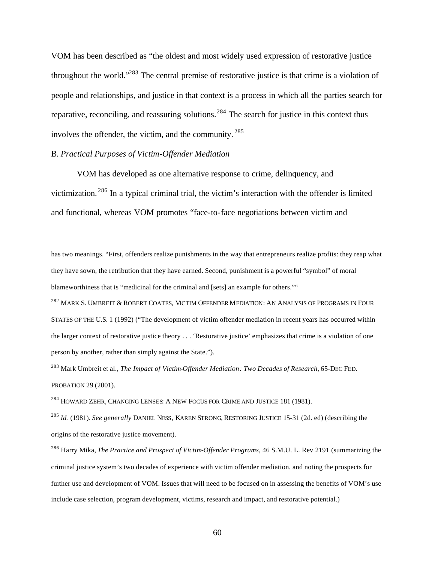VOM has been described as "the oldest and most widely used expression of restorative justice throughout the world."<sup>283</sup> The central premise of restorative justice is that crime is a violation of people and relationships, and justice in that context is a process in which all the parties search for reparative, reconciling, and reassuring solutions.<sup>284</sup> The search for justice in this context thus involves the offender, the victim, and the community. <sup>285</sup>

### B. *Practical Purposes of Victim-Offender Mediation*

 $\overline{a}$ 

VOM has developed as one alternative response to crime, delinquency, and victimization. <sup>286</sup> In a typical criminal trial, the victim's interaction with the offender is limited and functional, whereas VOM promotes "face-to-face negotiations between victim and

has two meanings. "First, offenders realize punishments in the way that entrepreneurs realize profits: they reap what they have sown, the retribution that they have earned. Second, punishment is a powerful "symbol" of moral blameworthiness that is "medicinal for the criminal and [sets] an example for others.""

<sup>282</sup> MARK S. UMBREIT & ROBERT COATES, VICTIM OFFENDER MEDIATION: AN ANALYSIS OF PROGRAMS IN FOUR STATES OF THE U.S. 1 (1992) ("The development of victim offender mediation in recent years has occurred within the larger context of restorative justice theory . . . 'Restorative justice' emphasizes that crime is a violation of one person by another, rather than simply against the State.").

<sup>283</sup> Mark Umbreit et al., *The Impact of Victim-Offender Mediation: Two Decades of Research*, 65-DEC FED. PROBATION 29 (2001).

<sup>284</sup> HOWARD ZEHR, CHANGING LENSES: A NEW FOCUS FOR CRIME AND JUSTICE 181 (1981).

<sup>285</sup> *Id.* (1981). *See generally* DANIEL NESS, KAREN STRONG, RESTORING JUSTICE 15-31 (2d. ed) (describing the origins of the restorative justice movement).

<sup>286</sup> Harry Mika, *The Practice and Prospect of Victim-Offender Programs*, 46 S.M.U. L. Rev 2191 (summarizing the criminal justice system's two decades of experience with victim offender mediation, and noting the prospects for further use and development of VOM. Issues that will need to be focused on in assessing the benefits of VOM's use include case selection, program development, victims, research and impact, and restorative potential.)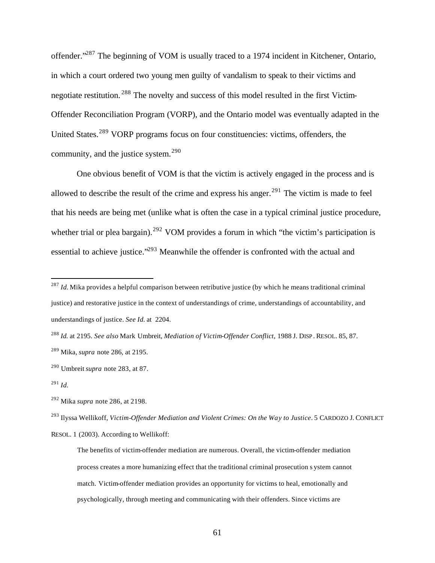offender."<sup>287</sup> The beginning of VOM is usually traced to a 1974 incident in Kitchener, Ontario, in which a court ordered two young men guilty of vandalism to speak to their victims and negotiate restitution. <sup>288</sup> The novelty and success of this model resulted in the first Victim-Offender Reconciliation Program (VORP), and the Ontario model was eventually adapted in the United States.<sup>289</sup> VORP programs focus on four constituencies: victims, offenders, the community, and the justice system. $290$ 

One obvious benefit of VOM is that the victim is actively engaged in the process and is allowed to describe the result of the crime and express his anger.<sup>291</sup> The victim is made to feel that his needs are being met (unlike what is often the case in a typical criminal justice procedure, whether trial or plea bargain).<sup>292</sup> VOM provides a forum in which "the victim's participation is essential to achieve justice."<sup>293</sup> Meanwhile the offender is confronted with the actual and

<sup>&</sup>lt;sup>287</sup> *Id.* Mika provides a helpful comparison between retributive justice (by which he means traditional criminal justice) and restorative justice in the context of understandings of crime, understandings of accountability, and understandings of justice. *See Id.* at 2204.

<sup>288</sup> *Id.* at 2195. *See also* Mark Umbreit, *Mediation of Victim-Offender Conflict*, 1988 J. DISP . RESOL. 85, 87. <sup>289</sup> Mika, *supra* note 286, at 2195.

<sup>290</sup> Umbreit *supra* note 283, at 87.

<sup>291</sup> *Id.*

<sup>292</sup> Mika *supra* note 286, at 2198.

<sup>293</sup> Ilyssa Wellikoff, *Victim-Offender Mediation and Violent Crimes: On the Way to Justice*. 5 CARDOZO J. CONFLICT RESOL. 1 (2003). According to Wellikoff:

The benefits of victim-offender mediation are numerous. Overall, the victim-offender mediation process creates a more humanizing effect that the traditional criminal prosecution s ystem cannot match. Victim-offender mediation provides an opportunity for victims to heal, emotionally and psychologically, through meeting and communicating with their offenders. Since victims are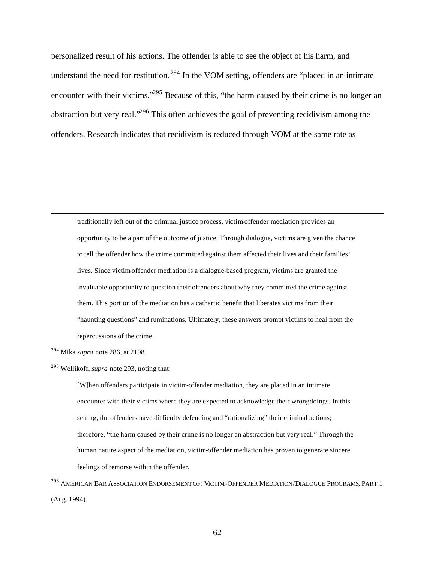personalized result of his actions. The offender is able to see the object of his harm, and understand the need for restitution.<sup>294</sup> In the VOM setting, offenders are "placed in an intimate encounter with their victims.<sup>295</sup> Because of this, "the harm caused by their crime is no longer an abstraction but very real."<sup>296</sup> This often achieves the goal of preventing recidivism among the offenders. Research indicates that recidivism is reduced through VOM at the same rate as

traditionally left out of the criminal justice process, victim-offender mediation provides an opportunity to be a part of the outcome of justice. Through dialogue, victims are given the chance to tell the offender how the crime committed against them affected their lives and their families' lives. Since victim-offender mediation is a dialogue-based program, victims are granted the invaluable opportunity to question their offenders about why they committed the crime against them. This portion of the mediation has a cathartic benefit that liberates victims from their "haunting questions" and ruminations. Ultimately, these answers prompt victims to heal from the repercussions of the crime.

<sup>294</sup> Mika *supra* note 286, at 2198.

 $\overline{a}$ 

[W]hen offenders participate in victim-offender mediation, they are placed in an intimate encounter with their victims where they are expected to acknowledge their wrongdoings. In this setting, the offenders have difficulty defending and "rationalizing" their criminal actions; therefore, "the harm caused by their crime is no longer an abstraction but very real." Through the human nature aspect of the mediation, victim-offender mediation has proven to generate sincere feelings of remorse within the offender.

<sup>296</sup> AMERICAN BAR ASSOCIATION ENDORSEMENT OF: VICTIM-OFFENDER MEDIATION/DIALOGUE PROGRAMS, PART 1 (Aug. 1994).

<sup>295</sup> Wellikoff, *supra* note 293, noting that: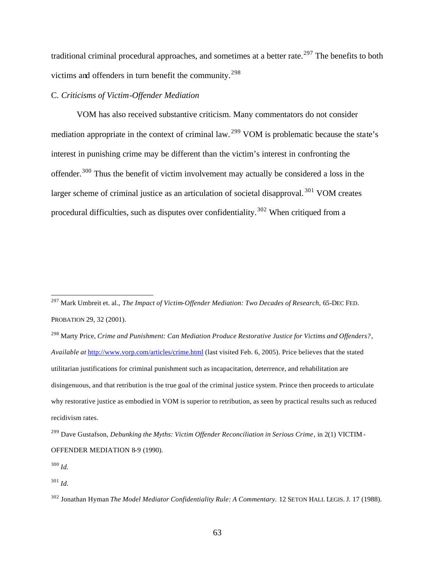traditional criminal procedural approaches, and sometimes at a better rate.<sup>297</sup> The benefits to both victims and offenders in turn benefit the community.<sup>298</sup>

# C*. Criticisms of Victim-Offender Mediation*

VOM has also received substantive criticism. Many commentators do not consider mediation appropriate in the context of criminal law.<sup>299</sup> VOM is problematic because the state's interest in punishing crime may be different than the victim's interest in confronting the offender.<sup>300</sup> Thus the benefit of victim involvement may actually be considered a loss in the larger scheme of criminal justice as an articulation of societal disapproval.<sup>301</sup> VOM creates procedural difficulties, such as disputes over confidentiality.<sup>302</sup> When critiqued from a

<sup>298</sup> Marty Price, *Crime and Punishment: Can Mediation Produce Restorative Justice for Victims and Offenders?*, *Available at* http://www.vorp.com/articles/crime.html (last visited Feb. 6, 2005). Price believes that the stated utilitarian justifications for criminal punishment such as incapacitation, deterrence, and rehabilitation are disingenuous, and that retribution is the true goal of the criminal justice system. Prince then proceeds to articulate why restorative justice as embodied in VOM is superior to retribution, as seen by practical results such as reduced recidivism rates.

<sup>300</sup> *Id.*

<sup>297</sup> Mark Umbreit et. al., *The Impact of Victim-Offender Mediation: Two Decades of Research*, 65-DEC FED. PROBATION 29, 32 (2001).

<sup>299</sup> Dave Gustafson, *Debunking the Myths: Victim Offender Reconciliation in Serious Crime*, in 2(1) VICTIM-OFFENDER MEDIATION 8-9 (1990).

<sup>301</sup> *Id.*

<sup>302</sup> Jonathan Hyman *The Model Mediator Confidentiality Rule: A Commentary.* 12 SETON HALL LEGIS. J. 17 (1988).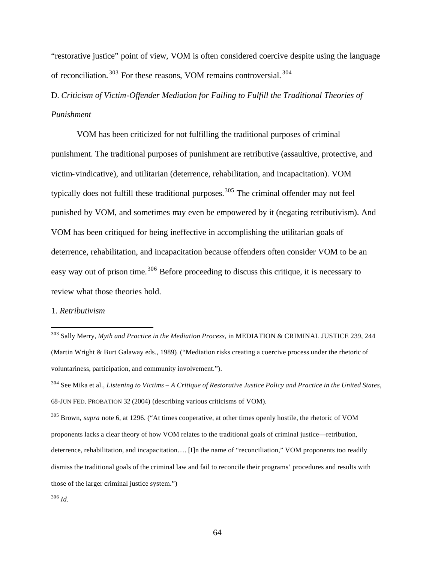"restorative justice" point of view, VOM is often considered coercive despite using the language of reconciliation. <sup>303</sup> For these reasons, VOM remains controversial. <sup>304</sup>

# D. *Criticism of Victim-Offender Mediation for Failing to Fulfill the Traditional Theories of Punishment*

VOM has been criticized for not fulfilling the traditional purposes of criminal punishment. The traditional purposes of punishment are retributive (assaultive, protective, and victim-vindicative), and utilitarian (deterrence, rehabilitation, and incapacitation). VOM typically does not fulfill these traditional purposes.<sup>305</sup> The criminal offender may not feel punished by VOM, and sometimes may even be empowered by it (negating retributivism). And VOM has been critiqued for being ineffective in accomplishing the utilitarian goals of deterrence, rehabilitation, and incapacitation because offenders often consider VOM to be an easy way out of prison time.<sup>306</sup> Before proceeding to discuss this critique, it is necessary to review what those theories hold.

#### 1. *Retributivism*

<sup>303</sup> Sally Merry, *Myth and Practice in the Mediation Process*, in MEDIATION & CRIMINAL JUSTICE 239, 244 (Martin Wright & Burt Galaway eds., 1989)*.* ("Mediation risks creating a coercive process under the rhetoric of voluntariness, participation, and community involvement.").

<sup>304</sup> See Mika et al., *Listening to Victims – A Critique of Restorative Justice Policy and Practice in the United States*, 68-JUN FED. PROBATION 32 (2004) (describing various criticisms of VOM).

<sup>305</sup> Brown, *supra* note 6, at 1296. ("At times cooperative, at other times openly hostile, the rhetoric of VOM proponents lacks a clear theory of how VOM relates to the traditional goals of criminal justice—retribution, deterrence, rehabilitation, and incapacitation…. [I]n the name of "reconciliation," VOM proponents too readily dismiss the traditional goals of the criminal law and fail to reconcile their programs' procedures and results with those of the larger criminal justice system.")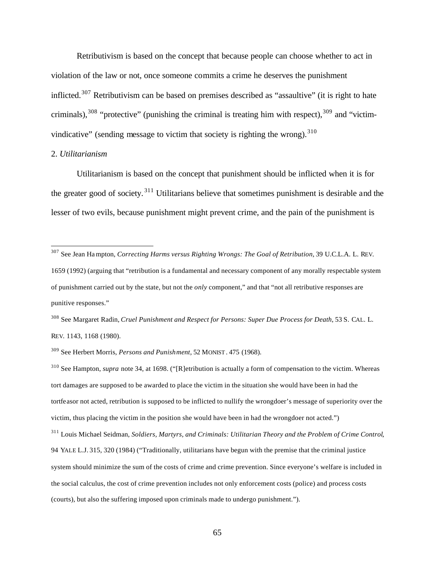Retributivism is based on the concept that because people can choose whether to act in violation of the law or not, once someone commits a crime he deserves the punishment inflicted.<sup>307</sup> Retributivism can be based on premises described as "assaultive" (it is right to hate criminals),  $308$  "protective" (punishing the criminal is treating him with respect),  $309$  and "victimvindicative" (sending message to victim that society is righting the wrong).  $310$ 

#### 2. *Utilitarianism*

 $\overline{a}$ 

Utilitarianism is based on the concept that punishment should be inflicted when it is for the greater good of society. <sup>311</sup> Utilitarians believe that sometimes punishment is desirable and the lesser of two evils, because punishment might prevent crime, and the pain of the punishment is

<sup>308</sup> See Margaret Radin, *Cruel Punishment and Respect for Persons: Super Due Process for Death*, 53 S. CAL. L. REV. 1143, 1168 (1980).

<sup>307</sup> See Jean Hampton, *Correcting Harms versus Righting Wrongs: The Goal of Retribution*, 39 U.C.L.A. L. REV. 1659 (1992) (arguing that "retribution is a fundamental and necessary component of any morally respectable system of punishment carried out by the state, but not the *only* component," and that "not all retributive responses are punitive responses."

<sup>309</sup> See Herbert Morris, *Persons and Punishment*, 52 MONIST . 475 (1968).

<sup>310</sup> See Hampton, *supra* note 34, at 1698. ("[R]etribution is actually a form of compensation to the victim. Whereas tort damages are supposed to be awarded to place the victim in the situation she would have been in had the tortfeasor not acted, retribution is supposed to be inflicted to nullify the wrongdoer's message of superiority over the victim, thus placing the victim in the position she would have been in had the wrongdoer not acted.")

<sup>311</sup> Louis Michael Seidman, *Soldiers, Martyrs, and Criminals: Utilitarian Theory and the Problem of Crime Control*, 94 YALE L.J. 315, 320 (1984) ("Traditionally, utilitarians have begun with the premise that the criminal justice system should minimize the sum of the costs of crime and crime prevention. Since everyone's welfare is included in the social calculus, the cost of crime prevention includes not only enforcement costs (police) and process costs (courts), but also the suffering imposed upon criminals made to undergo punishment.").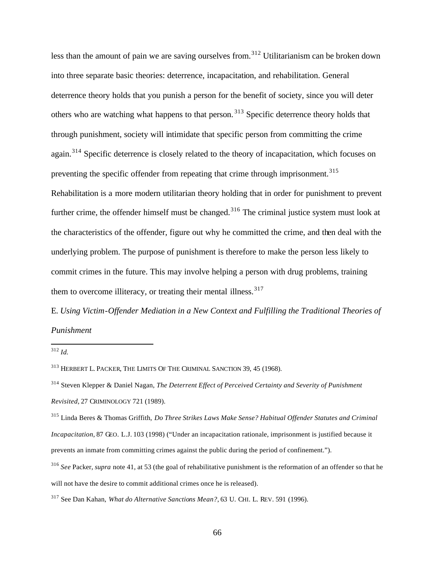less than the amount of pain we are saving ourselves from.<sup>312</sup> Utilitarianism can be broken down into three separate basic theories: deterrence, incapacitation, and rehabilitation. General deterrence theory holds that you punish a person for the benefit of society, since you will deter others who are watching what happens to that person. <sup>313</sup> Specific deterrence theory holds that through punishment, society will intimidate that specific person from committing the crime again.<sup>314</sup> Specific deterrence is closely related to the theory of incapacitation, which focuses on preventing the specific offender from repeating that crime through imprisonment.<sup>315</sup> Rehabilitation is a more modern utilitarian theory holding that in order for punishment to prevent further crime, the offender himself must be changed.<sup>316</sup> The criminal justice system must look at the characteristics of the offender, figure out why he committed the crime, and then deal with the underlying problem. The purpose of punishment is therefore to make the person less likely to commit crimes in the future. This may involve helping a person with drug problems, training them to overcome illiteracy, or treating their mental illness.<sup>317</sup>

E. *Using Victim-Offender Mediation in a New Context and Fulfilling the Traditional Theories of Punishment* 

<sup>312</sup> *Id.*

<sup>313</sup> HERBERT L. PACKER, THE LIMITS OF THE CRIMINAL SANCTION 39, 45 (1968).

<sup>314</sup> Steven Klepper & Daniel Nagan, *The Deterrent Effect of Perceived Certainty and Severity of Punishment Revisited*, 27 CRIMINOLOGY 721 (1989).

<sup>315</sup> Linda Beres & Thomas Griffith, *Do Three Strikes Laws Make Sense? Habitual Offender Statutes and Criminal Incapacitation*, 87 GEO. L.J. 103 (1998) ("Under an incapacitation rationale, imprisonment is justified because it prevents an inmate from committing crimes against the public during the period of confinement.").

<sup>316</sup> *See* Packer, *supra* note 41, at 53 (the goal of rehabilitative punishment is the reformation of an offender so that he will not have the desire to commit additional crimes once he is released).

<sup>317</sup> See Dan Kahan, *What do Alternative Sanctions Mean?*, 63 U. CHI. L. REV. 591 (1996).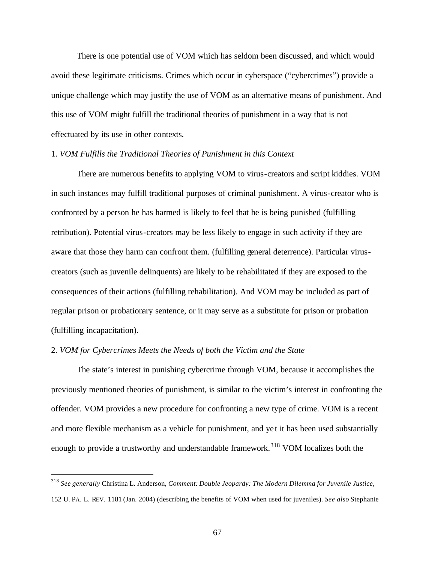There is one potential use of VOM which has seldom been discussed, and which would avoid these legitimate criticisms. Crimes which occur in cyberspace ("cybercrimes") provide a unique challenge which may justify the use of VOM as an alternative means of punishment. And this use of VOM might fulfill the traditional theories of punishment in a way that is not effectuated by its use in other contexts.

### 1. *VOM Fulfills the Traditional Theories of Punishment in this Context*

There are numerous benefits to applying VOM to virus-creators and script kiddies. VOM in such instances may fulfill traditional purposes of criminal punishment. A virus-creator who is confronted by a person he has harmed is likely to feel that he is being punished (fulfilling retribution). Potential virus-creators may be less likely to engage in such activity if they are aware that those they harm can confront them. (fulfilling general deterrence). Particular viruscreators (such as juvenile delinquents) are likely to be rehabilitated if they are exposed to the consequences of their actions (fulfilling rehabilitation). And VOM may be included as part of regular prison or probationary sentence, or it may serve as a substitute for prison or probation (fulfilling incapacitation).

### 2. *VOM for Cybercrimes Meets the Needs of both the Victim and the State*

 $\overline{a}$ 

The state's interest in punishing cybercrime through VOM, because it accomplishes the previously mentioned theories of punishment, is similar to the victim's interest in confronting the offender. VOM provides a new procedure for confronting a new type of crime. VOM is a recent and more flexible mechanism as a vehicle for punishment, and ye t it has been used substantially enough to provide a trustworthy and understandable framework.<sup>318</sup> VOM localizes both the

<sup>318</sup> *See generally* Christina L. Anderson, *Comment: Double Jeopardy: The Modern Dilemma for Juvenile Justice*, 152 U. PA. L. REV. 1181 (Jan. 2004) (describing the benefits of VOM when used for juveniles). *See also* Stephanie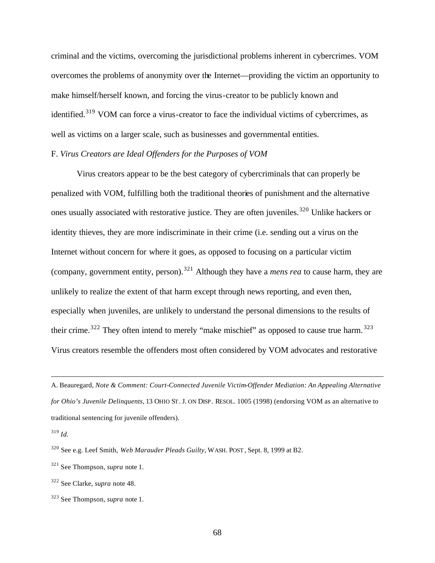criminal and the victims, overcoming the jurisdictional problems inherent in cybercrimes. VOM overcomes the problems of anonymity over the Internet—providing the victim an opportunity to make himself/herself known, and forcing the virus-creator to be publicly known and identified.<sup>319</sup> VOM can force a virus-creator to face the individual victims of cybercrimes, as well as victims on a larger scale, such as businesses and governmental entities.

# F. *Virus Creators are Ideal Offenders for the Purposes of VOM*

Virus creators appear to be the best category of cybercriminals that can properly be penalized with VOM, fulfilling both the traditional theories of punishment and the alternative ones usually associated with restorative justice. They are often juveniles.<sup>320</sup> Unlike hackers or identity thieves, they are more indiscriminate in their crime (i.e. sending out a virus on the Internet without concern for where it goes, as opposed to focusing on a particular victim (company, government entity, person).<sup>321</sup> Although they have a *mens rea* to cause harm, they are unlikely to realize the extent of that harm except through news reporting, and even then, especially when juveniles, are unlikely to understand the personal dimensions to the results of their crime.<sup>322</sup> They often intend to merely "make mischief" as opposed to cause true harm.<sup>323</sup> Virus creators resemble the offenders most often considered by VOM advocates and restorative

A. Beauregard, *Note & Comment: Court-Connected Juvenile Victim-Offender Mediation: An Appealing Alternative for Ohio's Juvenile Delinquents*, 13 OHIO ST. J. ON DISP. RESOL. 1005 (1998) (endorsing VOM as an alternative to traditional sentencing for juvenile offenders).

<sup>319</sup> *Id.*

<sup>320</sup> See e.g. Leef Smith, *Web Marauder Pleads Guilty*, WASH. POST , Sept. 8, 1999 at B2.

<sup>321</sup> See Thompson, *supra* note 1.

<sup>322</sup> See Clarke, *supra* note 48.

<sup>323</sup> See Thompson, *supra* note 1.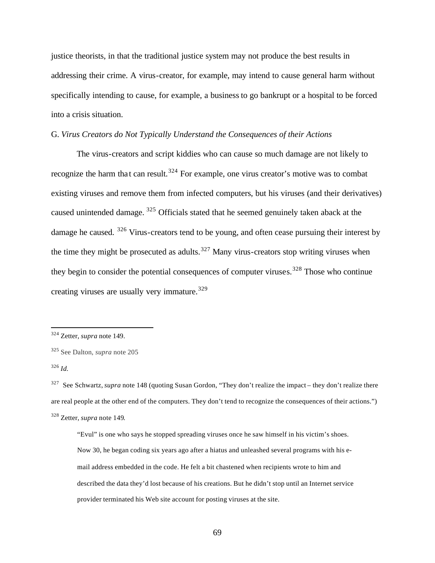justice theorists, in that the traditional justice system may not produce the best results in addressing their crime. A virus-creator, for example, may intend to cause general harm without specifically intending to cause, for example, a business to go bankrupt or a hospital to be forced into a crisis situation.

# G. *Virus Creators do Not Typically Understand the Consequences of their Actions*

The virus-creators and script kiddies who can cause so much damage are not likely to recognize the harm that can result.<sup>324</sup> For example, one virus creator's motive was to combat existing viruses and remove them from infected computers, but his viruses (and their derivatives) caused unintended damage. <sup>325</sup> Officials stated that he seemed genuinely taken aback at the damage he caused. <sup>326</sup> Virus-creators tend to be young, and often cease pursuing their interest by the time they might be prosecuted as adults.<sup>327</sup> Many virus-creators stop writing viruses when they begin to consider the potential consequences of computer viruses.<sup>328</sup> Those who continue creating viruses are usually very immature.<sup>329</sup>

<sup>324</sup> Zetter, *supra* note 149.

<sup>325</sup> See Dalton, *supra* note 205

<sup>326</sup> *Id.*

<sup>&</sup>lt;sup>327</sup> See Schwartz, *supra* note 148 (quoting Susan Gordon, "They don't realize the impact – they don't realize there are real people at the other end of the computers. They don't tend to recognize the consequences of their actions.") <sup>328</sup> Zetter, *supra* note 149.

<sup>&</sup>quot;Evul" is one who says he stopped spreading viruses once he saw himself in his victim's shoes. Now 30, he began coding six years ago after a hiatus and unleashed several programs with his email address embedded in the code. He felt a bit chastened when recipients wrote to him and described the data they'd lost because of his creations. But he didn't stop until an Internet service provider terminated his Web site account for posting viruses at the site.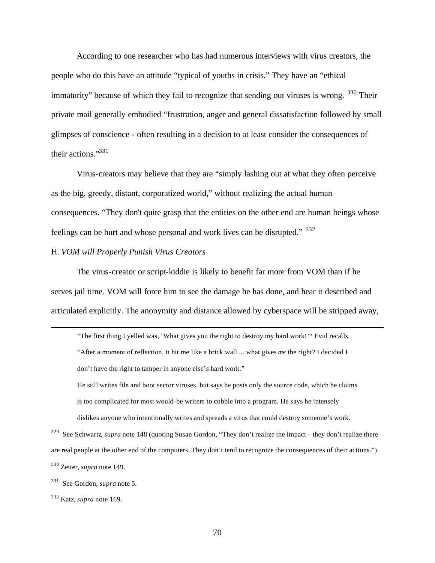According to one researcher who has had numerous interviews with virus creators, the people who do this have an attitude "typical of youths in crisis." They have an "ethical immaturity" because of which they fail to recognize that sending out viruses is wrong.  $330$  Their private mail generally embodied "frustration, anger and general dissatisfaction followed by small glimpses of conscience - often resulting in a decision to at least consider the consequences of their actions."<sup>331</sup>

Virus-creators may believe that they are "simply lashing out at what they often perceive as the big, greedy, distant, corporatized world," without realizing the actual human consequences. "They don't quite grasp that the entities on the other end are human beings whose feelings can be hurt and whose personal and work lives can be disrupted." <sup>332</sup>

### H. *VOM will Properly Punish Virus Creators*

The virus-creator or script-kiddie is likely to benefit far more from VOM than if he serves jail time. VOM will force him to see the damage he has done, and hear it described and articulated explicitly. The anonymity and distance allowed by cyberspace will be stripped away,

"The first thing I yelled was, 'What gives you the right to destroy my hard work!'" Evul recalls. "After a moment of reflection, it hit me like a brick wall ... what gives *me* the right? I decided I don't have the right to tamper in anyone else's hard work." He still writes file and boot sector viruses, but says he posts only the source code, which he claims is too complicated for most would-be writers to cobble into a program. He says he intensely dislikes anyone who intentionally writes and spreads a virus that could destroy someone's work.

<sup>329</sup> See Schwartz, *supra* note 148 (quoting Susan Gordon, "They don't realize the impact – they don't realize there are real people at the other end of the computers. They don't tend to recognize the consequences of their actions.") <sup>330</sup> Zetter, *supra* note 149.

<sup>331</sup> See Gordon, *supra* note 5.

<sup>332</sup> Katz, *supra* note 169.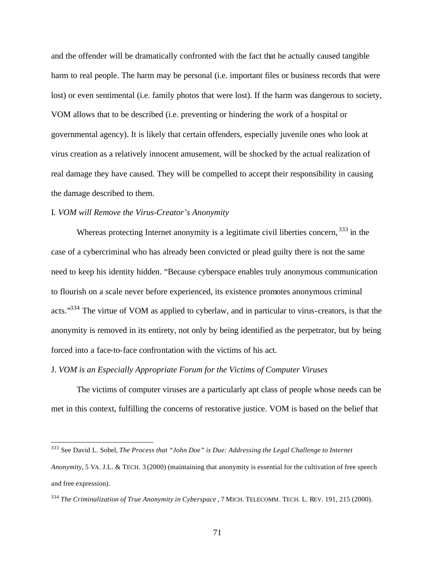and the offender will be dramatically confronted with the fact that he actually caused tangible harm to real people. The harm may be personal (i.e. important files or business records that were lost) or even sentimental (i.e. family photos that were lost). If the harm was dangerous to society, VOM allows that to be described (i.e. preventing or hindering the work of a hospital or governmental agency). It is likely that certain offenders, especially juvenile ones who look at virus creation as a relatively innocent amusement, will be shocked by the actual realization of real damage they have caused. They will be compelled to accept their responsibility in causing the damage described to them.

### I*. VOM will Remove the Virus-Creator's Anonymity*

 $\overline{a}$ 

Whereas protecting Internet anonymity is a legitimate civil liberties concern, <sup>333</sup> in the case of a cybercriminal who has already been convicted or plead guilty there is not the same need to keep his identity hidden. "Because cyberspace enables truly anonymous communication to flourish on a scale never before experienced, its existence promotes anonymous criminal acts."<sup>334</sup> The virtue of VOM as applied to cyberlaw, and in particular to virus-creators, is that the anonymity is removed in its entirety, not only by being identified as the perpetrator, but by being forced into a face-to-face confrontation with the victims of his act.

### J. *VOM is an Especially Appropriate Forum for the Victims of Computer Viruses*

The victims of computer viruses are a particularly apt class of people whose needs can be met in this context, fulfilling the concerns of restorative justice. VOM is based on the belief that

<sup>333</sup> See David L. Sobel, *The Process that "John Doe" is Due: Addressing the Legal Challenge to Internet* 

*Anonymity*, 5 VA. J.L. & TECH. 3 (2000) (maintaining that anonymity is essential for the cultivation of free speech and free expression).

<sup>334</sup> *The Criminalization of True Anonymity in Cyberspace* , 7 MICH. TELECOMM. TECH. L. REV. 191, 215 (2000).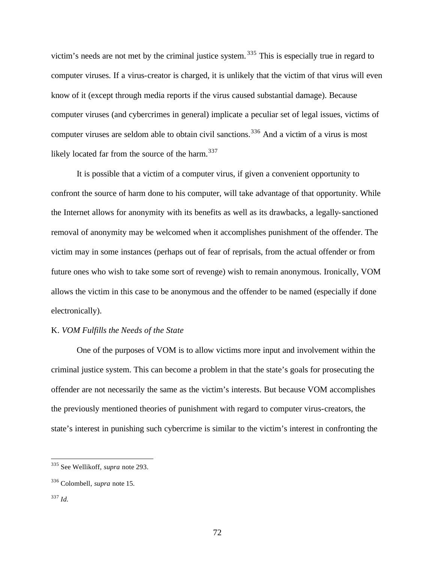victim's needs are not met by the criminal justice system. <sup>335</sup> This is especially true in regard to computer viruses. If a virus-creator is charged, it is unlikely that the victim of that virus will even know of it (except through media reports if the virus caused substantial damage). Because computer viruses (and cybercrimes in general) implicate a peculiar set of legal issues, victims of computer viruses are seldom able to obtain civil sanctions.<sup>336</sup> And a victim of a virus is most likely located far from the source of the harm.<sup>337</sup>

It is possible that a victim of a computer virus, if given a convenient opportunity to confront the source of harm done to his computer, will take advantage of that opportunity. While the Internet allows for anonymity with its benefits as well as its drawbacks, a legally-sanctioned removal of anonymity may be welcomed when it accomplishes punishment of the offender. The victim may in some instances (perhaps out of fear of reprisals, from the actual offender or from future ones who wish to take some sort of revenge) wish to remain anonymous. Ironically, VOM allows the victim in this case to be anonymous and the offender to be named (especially if done electronically).

### K. *VOM Fulfills the Needs of the State*

One of the purposes of VOM is to allow victims more input and involvement within the criminal justice system. This can become a problem in that the state's goals for prosecuting the offender are not necessarily the same as the victim's interests. But because VOM accomplishes the previously mentioned theories of punishment with regard to computer virus-creators, the state's interest in punishing such cybercrime is similar to the victim's interest in confronting the

<sup>335</sup> See Wellikoff, *supra* note 293.

<sup>336</sup> Colombell, *supra* note 15.

<sup>337</sup> *Id.*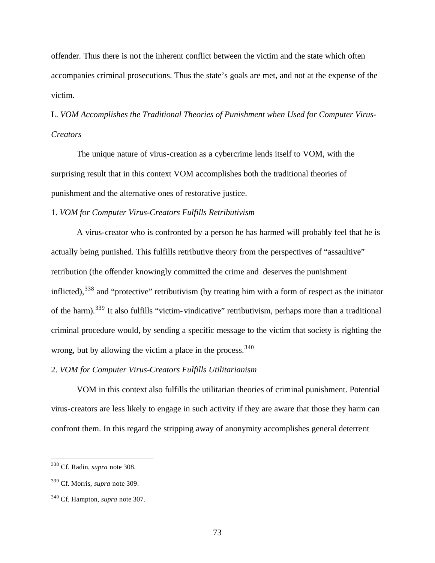offender. Thus there is not the inherent conflict between the victim and the state which often accompanies criminal prosecutions. Thus the state's goals are met, and not at the expense of the victim.

L. *VOM Accomplishes the Traditional Theories of Punishment when Used for Computer Virus-Creators*

The unique nature of virus-creation as a cybercrime lends itself to VOM, with the surprising result that in this context VOM accomplishes both the traditional theories of punishment and the alternative ones of restorative justice.

1. *VOM for Computer Virus-Creators Fulfills Retributivism*

A virus-creator who is confronted by a person he has harmed will probably feel that he is actually being punished. This fulfills retributive theory from the perspectives of "assaultive" retribution (the offender knowingly committed the crime and deserves the punishment inflicted),<sup>338</sup> and "protective" retributivism (by treating him with a form of respect as the initiator of the harm).<sup>339</sup> It also fulfills "victim-vindicative" retributivism, perhaps more than a traditional criminal procedure would, by sending a specific message to the victim that society is righting the wrong, but by allowing the victim a place in the process.  $340$ 

## 2. *VOM for Computer Virus-Creators Fulfills Utilitarianism*

VOM in this context also fulfills the utilitarian theories of criminal punishment. Potential virus-creators are less likely to engage in such activity if they are aware that those they harm can confront them. In this regard the stripping away of anonymity accomplishes general deterrent

 $\overline{a}$ 

<sup>338</sup> Cf. Radin, *supra* note 308.

<sup>339</sup> Cf. Morris, *supra* note 309.

<sup>340</sup> Cf. Hampton, *supra* note 307.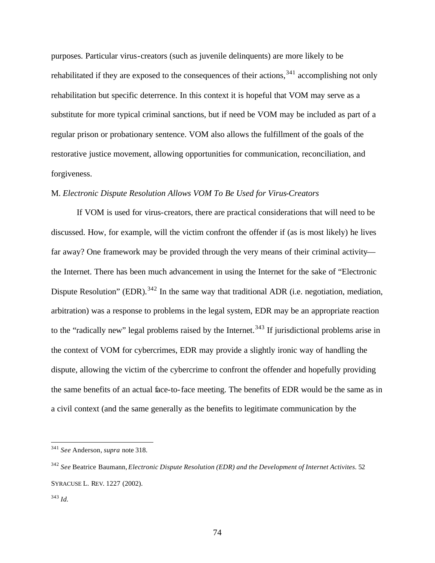purposes. Particular virus-creators (such as juvenile delinquents) are more likely to be rehabilitated if they are exposed to the consequences of their actions,<sup>341</sup> accomplishing not only rehabilitation but specific deterrence. In this context it is hopeful that VOM may serve as a substitute for more typical criminal sanctions, but if need be VOM may be included as part of a regular prison or probationary sentence. VOM also allows the fulfillment of the goals of the restorative justice movement, allowing opportunities for communication, reconciliation, and forgiveness.

## M. *Electronic Dispute Resolution Allows VOM To Be Used for Virus-Creators*

If VOM is used for virus-creators, there are practical considerations that will need to be discussed. How, for example, will the victim confront the offender if (as is most likely) he lives far away? One framework may be provided through the very means of their criminal activity the Internet. There has been much advancement in using the Internet for the sake of "Electronic Dispute Resolution" (EDR).<sup>342</sup> In the same way that traditional ADR (i.e. negotiation, mediation, arbitration) was a response to problems in the legal system, EDR may be an appropriate reaction to the "radically new" legal problems raised by the Internet.<sup>343</sup> If jurisdictional problems arise in the context of VOM for cybercrimes, EDR may provide a slightly ironic way of handling the dispute, allowing the victim of the cybercrime to confront the offender and hopefully providing the same benefits of an actual face-to-face meeting. The benefits of EDR would be the same as in a civil context (and the same generally as the benefits to legitimate communication by the

 $\overline{a}$ 

<sup>341</sup> *See* Anderson, *supra* note 318.

<sup>342</sup> *See* Beatrice Baumann, *Electronic Dispute Resolution (EDR) and the Development of Internet Activites.* 52 SYRACUSE L. REV. 1227 (2002).

<sup>343</sup> *Id.*